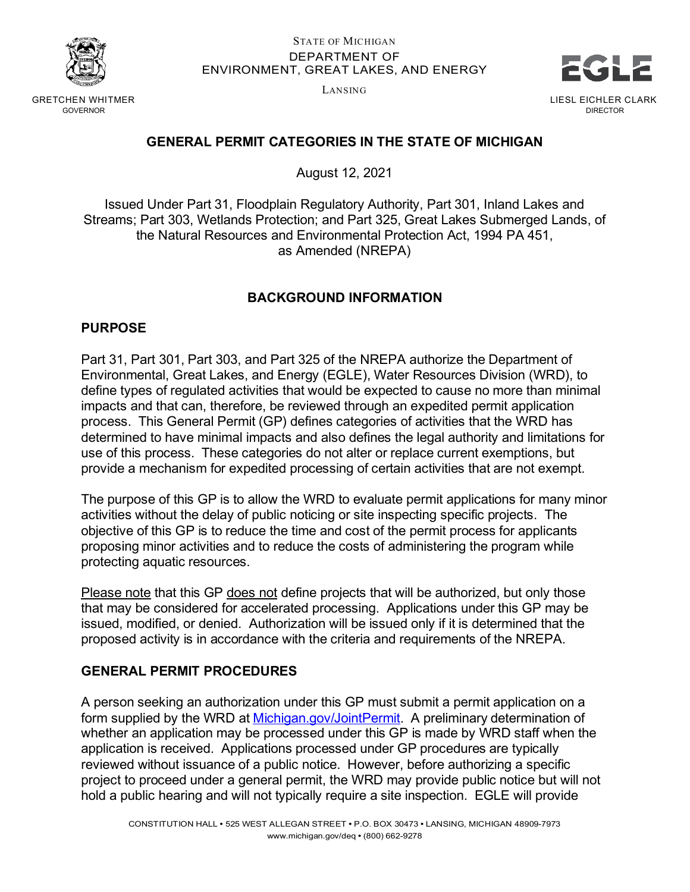

GRETCHEN WHITMER GOVERNOR

#### STATE OF MICHIGAN DEPARTMENT OF ENVIRONMENT, GREAT LAKES, AND ENERGY

LANSING



## **GENERAL PERMIT CATEGORIES IN THE STATE OF MICHIGAN**

August 12, 2021

Issued Under Part 31, Floodplain Regulatory Authority, Part 301, Inland Lakes and Streams; Part 303, Wetlands Protection; and Part 325, Great Lakes Submerged Lands, of the Natural Resources and Environmental Protection Act, 1994 PA 451, as Amended (NREPA)

## **BACKGROUND INFORMATION**

#### **PURPOSE**

Part 31, Part 301, Part 303, and Part 325 of the NREPA authorize the Department of Environmental, Great Lakes, and Energy (EGLE), Water Resources Division (WRD), to define types of regulated activities that would be expected to cause no more than minimal impacts and that can, therefore, be reviewed through an expedited permit application process. This General Permit (GP) defines categories of activities that the WRD has determined to have minimal impacts and also defines the legal authority and limitations for use of this process. These categories do not alter or replace current exemptions, but provide a mechanism for expedited processing of certain activities that are not exempt.

The purpose of this GP is to allow the WRD to evaluate permit applications for many minor activities without the delay of public noticing or site inspecting specific projects. The objective of this GP is to reduce the time and cost of the permit process for applicants proposing minor activities and to reduce the costs of administering the program while protecting aquatic resources.

Please note that this GP does not define projects that will be authorized, but only those that may be considered for accelerated processing. Applications under this GP may be issued, modified, or denied. Authorization will be issued only if it is determined that the proposed activity is in accordance with the criteria and requirements of the NREPA.

#### **GENERAL PERMIT PROCEDURES**

A person seeking an authorization under this GP must submit a permit application on a form supplied by the WRD at [Michigan.gov/JointPermit.](http://michigan.gov/JointPermit) A preliminary determination of whether an application may be processed under this GP is made by WRD staff when the application is received. Applications processed under GP procedures are typically reviewed without issuance of a public notice. However, before authorizing a specific project to proceed under a general permit, the WRD may provide public notice but will not hold a public hearing and will not typically require a site inspection. EGLE will provide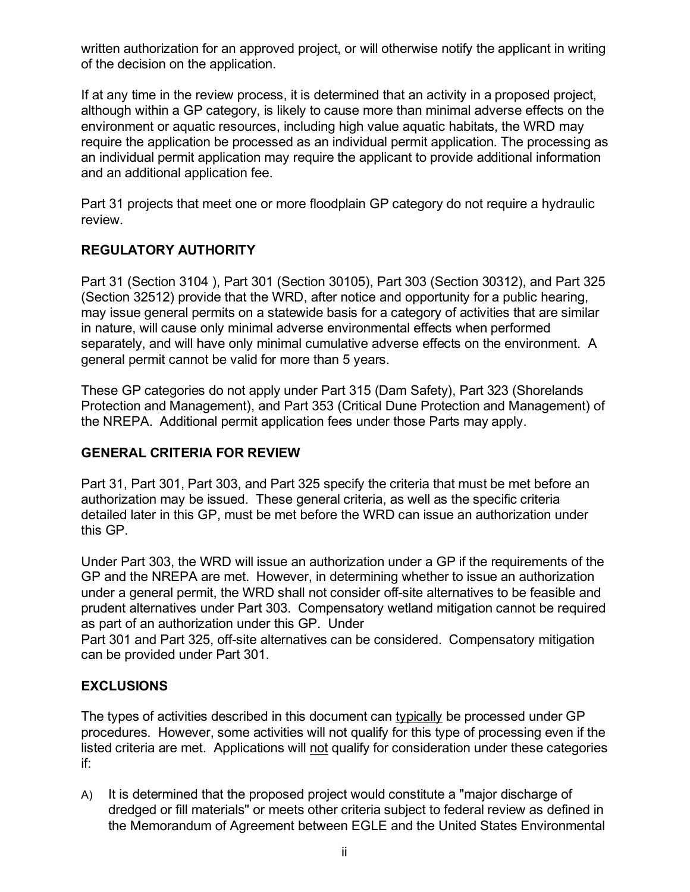written authorization for an approved project, or will otherwise notify the applicant in writing of the decision on the application.

If at any time in the review process, it is determined that an activity in a proposed project, although within a GP category, is likely to cause more than minimal adverse effects on the environment or aquatic resources, including high value aquatic habitats, the WRD may require the application be processed as an individual permit application. The processing as an individual permit application may require the applicant to provide additional information and an additional application fee.

Part 31 projects that meet one or more floodplain GP category do not require a hydraulic review.

## **REGULATORY AUTHORITY**

Part 31 (Section 3104 ), Part 301 (Section 30105), Part 303 (Section 30312), and Part 325 (Section 32512) provide that the WRD, after notice and opportunity for a public hearing, may issue general permits on a statewide basis for a category of activities that are similar in nature, will cause only minimal adverse environmental effects when performed separately, and will have only minimal cumulative adverse effects on the environment. A general permit cannot be valid for more than 5 years.

These GP categories do not apply under Part 315 (Dam Safety), Part 323 (Shorelands Protection and Management), and Part 353 (Critical Dune Protection and Management) of the NREPA. Additional permit application fees under those Parts may apply.

#### **GENERAL CRITERIA FOR REVIEW**

Part 31, Part 301, Part 303, and Part 325 specify the criteria that must be met before an authorization may be issued. These general criteria, as well as the specific criteria detailed later in this GP, must be met before the WRD can issue an authorization under this GP.

Under Part 303, the WRD will issue an authorization under a GP if the requirements of the GP and the NREPA are met. However, in determining whether to issue an authorization under a general permit, the WRD shall not consider off-site alternatives to be feasible and prudent alternatives under Part 303. Compensatory wetland mitigation cannot be required as part of an authorization under this GP. Under

Part 301 and Part 325, off-site alternatives can be considered. Compensatory mitigation can be provided under Part 301.

#### **EXCLUSIONS**

The types of activities described in this document can typically be processed under GP procedures. However, some activities will not qualify for this type of processing even if the listed criteria are met. Applications will not qualify for consideration under these categories if:

A) It is determined that the proposed project would constitute a "major discharge of dredged or fill materials" or meets other criteria subject to federal review as defined in the Memorandum of Agreement between EGLE and the United States Environmental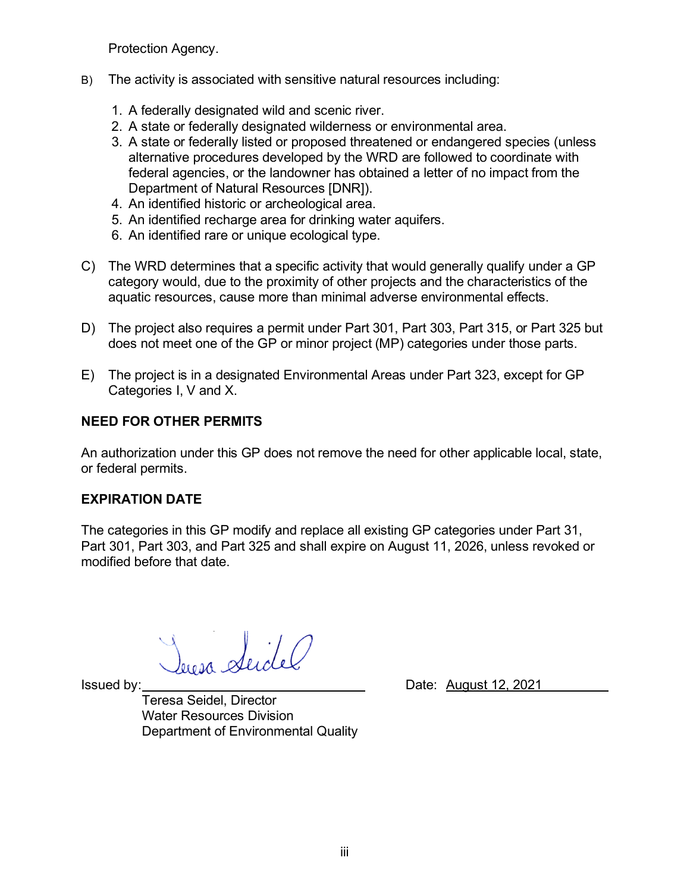Protection Agency.

- B) The activity is associated with sensitive natural resources including:
	- 1. A federally designated wild and scenic river.
	- 2. A state or federally designated wilderness or environmental area.
	- 3. A state or federally listed or proposed threatened or endangered species (unless alternative procedures developed by the WRD are followed to coordinate with federal agencies, or the landowner has obtained a letter of no impact from the Department of Natural Resources [DNR]).
	- 4. An identified historic or archeological area.
	- 5. An identified recharge area for drinking water aquifers.
	- 6. An identified rare or unique ecological type.
- C) The WRD determines that a specific activity that would generally qualify under a GP category would, due to the proximity of other projects and the characteristics of the aquatic resources, cause more than minimal adverse environmental effects.
- D) The project also requires a permit under Part 301, Part 303, Part 315, or Part 325 but does not meet one of the GP or minor project (MP) categories under those parts.
- E) The project is in a designated Environmental Areas under Part 323, except for GP Categories I, V and X.

## **NEED FOR OTHER PERMITS**

An authorization under this GP does not remove the need for other applicable local, state, or federal permits.

#### **EXPIRATION DATE**

The categories in this GP modify and replace all existing GP categories under Part 31, Part 301, Part 303, and Part 325 and shall expire on August 11, 2026, unless revoked or modified before that date.

derosa Seich

Teresa Seidel, Director Water Resources Division Department of Environmental Quality

Issued by: Date: August 12, 2021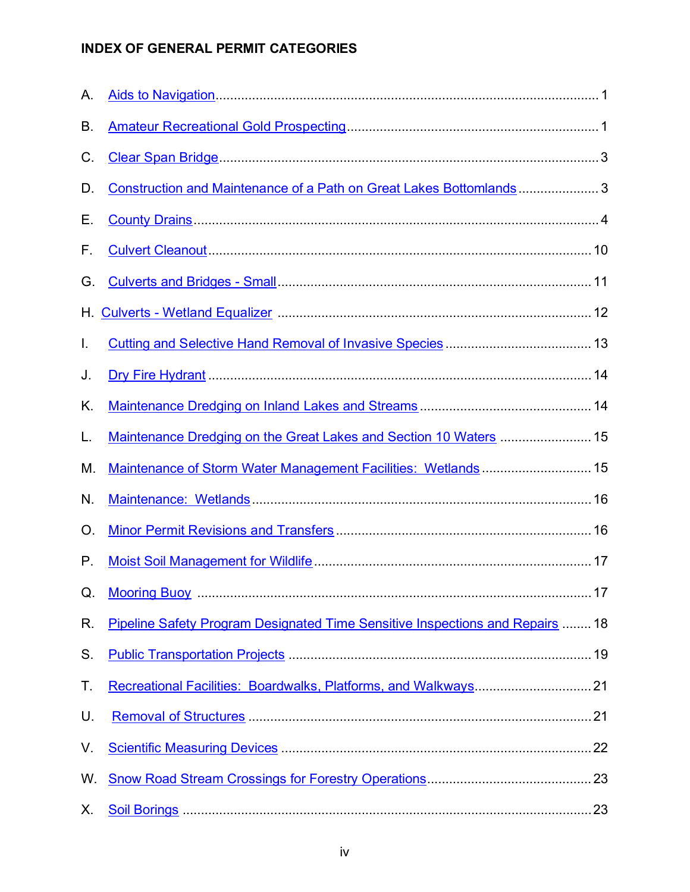## **INDEX OF GENERAL PERMIT CATEGORIES**

| Α. |                                                                               |  |
|----|-------------------------------------------------------------------------------|--|
| В. |                                                                               |  |
| C. |                                                                               |  |
| D. | Construction and Maintenance of a Path on Great Lakes Bottomlands 3           |  |
| Е. |                                                                               |  |
| F. |                                                                               |  |
| G. |                                                                               |  |
| Н. |                                                                               |  |
| I. |                                                                               |  |
| J. |                                                                               |  |
| K. |                                                                               |  |
| L. | Maintenance Dredging on the Great Lakes and Section 10 Waters  15             |  |
| М. | Maintenance of Storm Water Management Facilities: Wetlands 15                 |  |
| N. |                                                                               |  |
| O. |                                                                               |  |
| Р. |                                                                               |  |
|    |                                                                               |  |
| R. | Pipeline Safety Program Designated Time Sensitive Inspections and Repairs  18 |  |
| S. |                                                                               |  |
| Τ. |                                                                               |  |
| U. |                                                                               |  |
| V. |                                                                               |  |
| W. |                                                                               |  |
| Х. |                                                                               |  |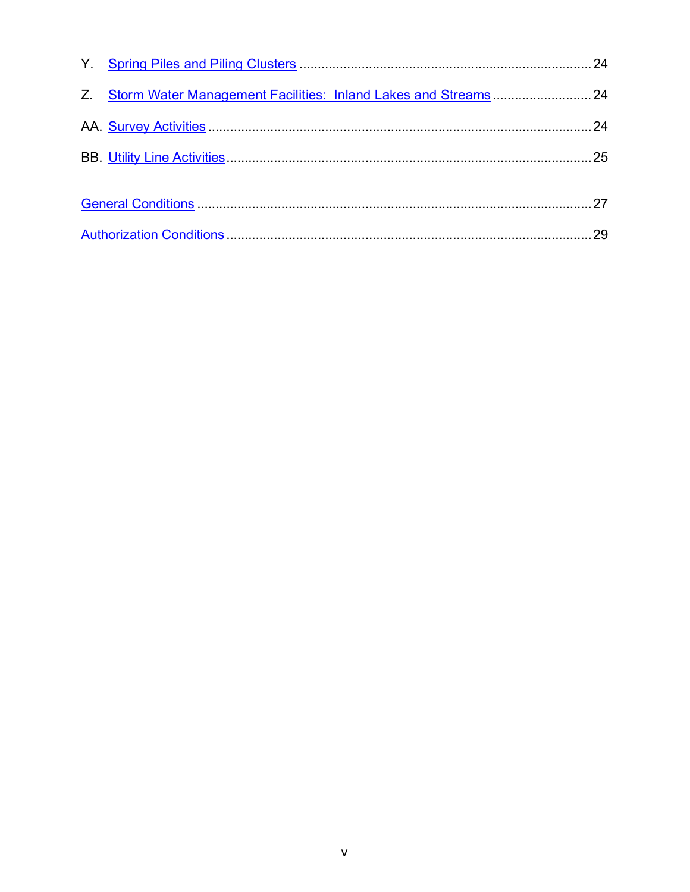| Z. Storm Water Management Facilities: Inland Lakes and Streams  24 |  |
|--------------------------------------------------------------------|--|
|                                                                    |  |
|                                                                    |  |
|                                                                    |  |
|                                                                    |  |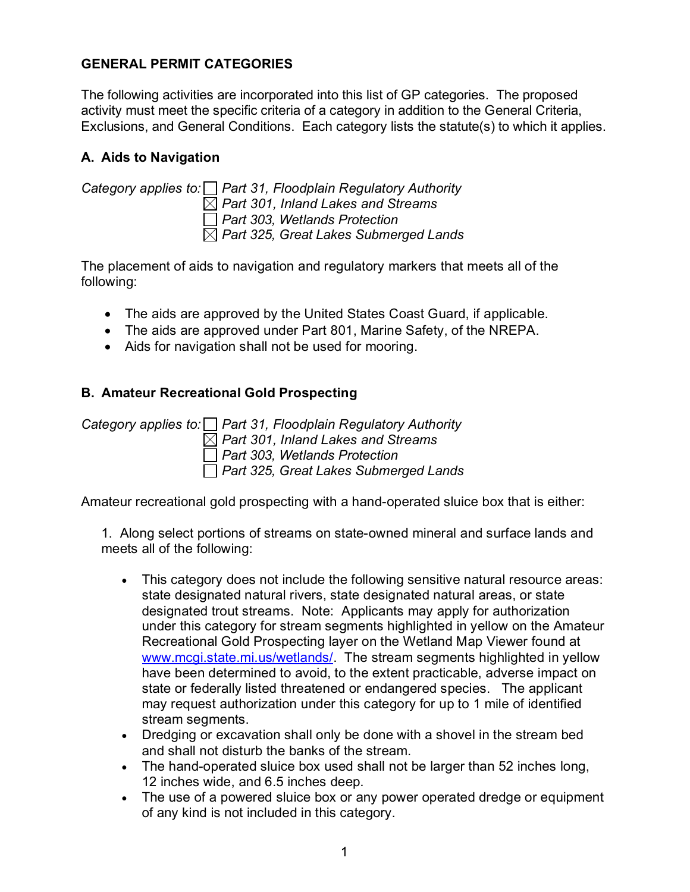#### **GENERAL PERMIT CATEGORIES**

The following activities are incorporated into this list of GP categories. The proposed activity must meet the specific criteria of a category in addition to the General Criteria, Exclusions, and General Conditions. Each category lists the statute(s) to which it applies.

## <span id="page-5-0"></span>**A. Aids to Navigation**

*Category applies to: Part 31, Floodplain Regulatory Authority Part 301, Inland Lakes and Streams Part 303, Wetlands Protection Part 325, Great Lakes Submerged Lands* 

The placement of aids to navigation and regulatory markers that meets all of the following:

- The aids are approved by the United States Coast Guard, if applicable.
- The aids are approved under Part 801, Marine Safety, of the NREPA.
- Aids for navigation shall not be used for mooring.

## <span id="page-5-1"></span>**B. Amateur Recreational Gold Prospecting**

*Category applies to: Part 31, Floodplain Regulatory Authority Part 301, Inland Lakes and Streams Part 303, Wetlands Protection Part 325, Great Lakes Submerged Lands* 

Amateur recreational gold prospecting with a hand-operated sluice box that is either:

1. Along select portions of streams on state-owned mineral and surface lands and meets all of the following:

- This category does not include the following sensitive natural resource areas: state designated natural rivers, state designated natural areas, or state designated trout streams. Note: Applicants may apply for authorization under this category for stream segments highlighted in yellow on the Amateur Recreational Gold Prospecting layer on the Wetland Map Viewer found at [www.mcgi.state.mi.us/wetlands/.](http://www.mcgi.state.mi.us/wetlands/) The stream segments highlighted in yellow have been determined to avoid, to the extent practicable, adverse impact on state or federally listed threatened or endangered species. The applicant may request authorization under this category for up to 1 mile of identified stream segments.
- Dredging or excavation shall only be done with a shovel in the stream bed and shall not disturb the banks of the stream.
- The hand-operated sluice box used shall not be larger than 52 inches long, 12 inches wide, and 6.5 inches deep.
- The use of a powered sluice box or any power operated dredge or equipment of any kind is not included in this category.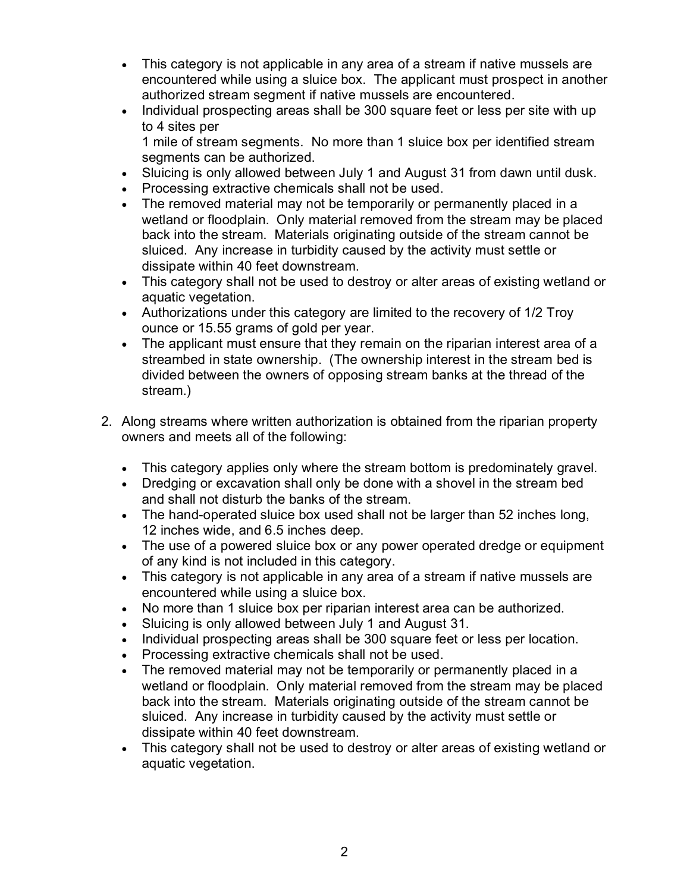- This category is not applicable in any area of a stream if native mussels are encountered while using a sluice box. The applicant must prospect in another authorized stream segment if native mussels are encountered.
- Individual prospecting areas shall be 300 square feet or less per site with up to 4 sites per

1 mile of stream segments. No more than 1 sluice box per identified stream segments can be authorized.

- Sluicing is only allowed between July 1 and August 31 from dawn until dusk.
- Processing extractive chemicals shall not be used.
- The removed material may not be temporarily or permanently placed in a wetland or floodplain. Only material removed from the stream may be placed back into the stream. Materials originating outside of the stream cannot be sluiced. Any increase in turbidity caused by the activity must settle or dissipate within 40 feet downstream.
- This category shall not be used to destroy or alter areas of existing wetland or aquatic vegetation.
- Authorizations under this category are limited to the recovery of 1/2 Troy ounce or 15.55 grams of gold per year.
- The applicant must ensure that they remain on the riparian interest area of a streambed in state ownership. (The ownership interest in the stream bed is divided between the owners of opposing stream banks at the thread of the stream.)
- 2. Along streams where written authorization is obtained from the riparian property owners and meets all of the following:
	- This category applies only where the stream bottom is predominately gravel.
	- Dredging or excavation shall only be done with a shovel in the stream bed and shall not disturb the banks of the stream.
	- The hand-operated sluice box used shall not be larger than 52 inches long, 12 inches wide, and 6.5 inches deep.
	- The use of a powered sluice box or any power operated dredge or equipment of any kind is not included in this category.
	- This category is not applicable in any area of a stream if native mussels are encountered while using a sluice box.
	- No more than 1 sluice box per riparian interest area can be authorized.
	- Sluicing is only allowed between July 1 and August 31.
	- Individual prospecting areas shall be 300 square feet or less per location.
	- Processing extractive chemicals shall not be used.
	- The removed material may not be temporarily or permanently placed in a wetland or floodplain. Only material removed from the stream may be placed back into the stream. Materials originating outside of the stream cannot be sluiced. Any increase in turbidity caused by the activity must settle or dissipate within 40 feet downstream.
	- This category shall not be used to destroy or alter areas of existing wetland or aquatic vegetation.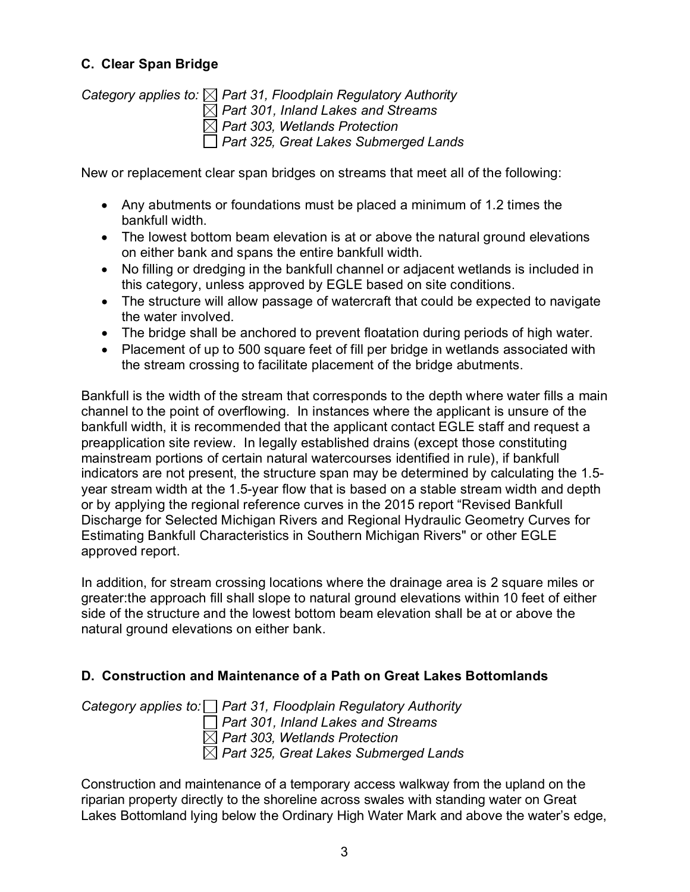## <span id="page-7-0"></span>**C. Clear Span Bridge**

*Category applies to: Part 31, Floodplain Regulatory Authority Part 301, Inland Lakes and Streams Part 303, Wetlands Protection Part 325, Great Lakes Submerged Lands* 

New or replacement clear span bridges on streams that meet all of the following:

- Any abutments or foundations must be placed a minimum of 1.2 times the bankfull width.
- The lowest bottom beam elevation is at or above the natural ground elevations on either bank and spans the entire bankfull width.
- No filling or dredging in the bankfull channel or adjacent wetlands is included in this category, unless approved by EGLE based on site conditions.
- The structure will allow passage of watercraft that could be expected to navigate the water involved.
- The bridge shall be anchored to prevent floatation during periods of high water.
- Placement of up to 500 square feet of fill per bridge in wetlands associated with the stream crossing to facilitate placement of the bridge abutments.

Bankfull is the width of the stream that corresponds to the depth where water fills a main channel to the point of overflowing. In instances where the applicant is unsure of the bankfull width, it is recommended that the applicant contact EGLE staff and request a preapplication site review. In legally established drains (except those constituting mainstream portions of certain natural watercourses identified in rule), if bankfull indicators are not present, the structure span may be determined by calculating the 1.5 year stream width at the 1.5-year flow that is based on a stable stream width and depth or by applying the regional reference curves in the 2015 report "Revised Bankfull Discharge for Selected Michigan Rivers and Regional Hydraulic Geometry Curves for Estimating Bankfull Characteristics in Southern Michigan Rivers" or other EGLE approved report.

In addition, for stream crossing locations where the drainage area is 2 square miles or greater:the approach fill shall slope to natural ground elevations within 10 feet of either side of the structure and the lowest bottom beam elevation shall be at or above the natural ground elevations on either bank.

#### <span id="page-7-1"></span>**D. Construction and Maintenance of a Path on Great Lakes Bottomlands**

*Category applies to: Part 31, Floodplain Regulatory Authority Part 301, Inland Lakes and Streams Part 303, Wetlands Protection Part 325, Great Lakes Submerged Lands* 

Construction and maintenance of a temporary access walkway from the upland on the riparian property directly to the shoreline across swales with standing water on Great Lakes Bottomland lying below the Ordinary High Water Mark and above the water's edge,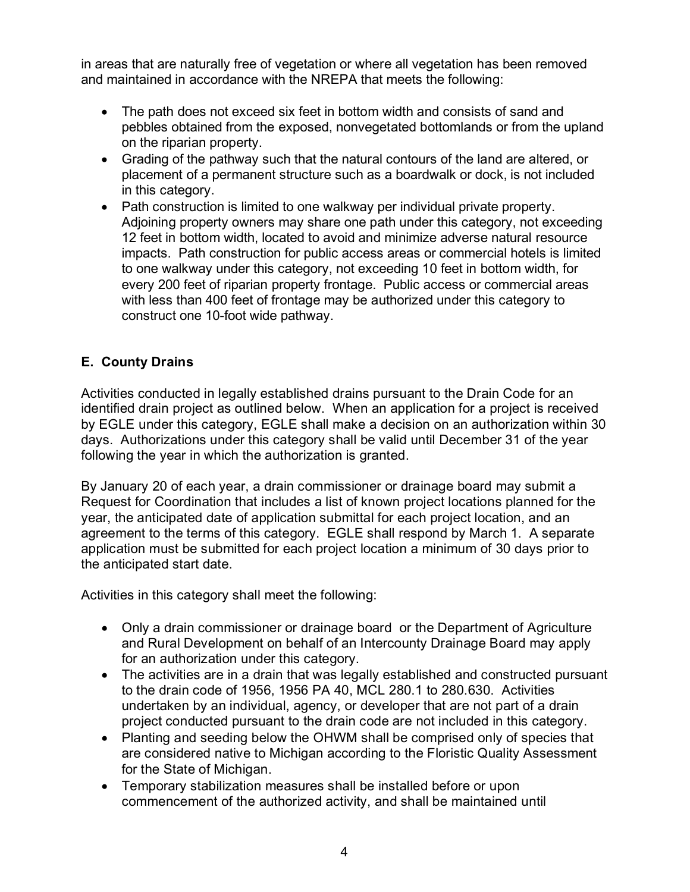in areas that are naturally free of vegetation or where all vegetation has been removed and maintained in accordance with the NREPA that meets the following:

- The path does not exceed six feet in bottom width and consists of sand and pebbles obtained from the exposed, nonvegetated bottomlands or from the upland on the riparian property.
- Grading of the pathway such that the natural contours of the land are altered, or placement of a permanent structure such as a boardwalk or dock, is not included in this category.
- Path construction is limited to one walkway per individual private property. Adjoining property owners may share one path under this category, not exceeding 12 feet in bottom width, located to avoid and minimize adverse natural resource impacts. Path construction for public access areas or commercial hotels is limited to one walkway under this category, not exceeding 10 feet in bottom width, for every 200 feet of riparian property frontage. Public access or commercial areas with less than 400 feet of frontage may be authorized under this category to construct one 10-foot wide pathway.

## <span id="page-8-0"></span>**E. County Drains**

Activities conducted in legally established drains pursuant to the Drain Code for an identified drain project as outlined below. When an application for a project is received by EGLE under this category, EGLE shall make a decision on an authorization within 30 days. Authorizations under this category shall be valid until December 31 of the year following the year in which the authorization is granted.

By January 20 of each year, a drain commissioner or drainage board may submit a Request for Coordination that includes a list of known project locations planned for the year, the anticipated date of application submittal for each project location, and an agreement to the terms of this category. EGLE shall respond by March 1. A separate application must be submitted for each project location a minimum of 30 days prior to the anticipated start date.

Activities in this category shall meet the following:

- Only a drain commissioner or drainage board or the Department of Agriculture and Rural Development on behalf of an Intercounty Drainage Board may apply for an authorization under this category.
- The activities are in a drain that was legally established and constructed pursuant to the drain code of 1956, 1956 PA 40, MCL 280.1 to 280.630. Activities undertaken by an individual, agency, or developer that are not part of a drain project conducted pursuant to the drain code are not included in this category.
- Planting and seeding below the OHWM shall be comprised only of species that are considered native to Michigan according to the Floristic Quality Assessment for the State of Michigan.
- Temporary stabilization measures shall be installed before or upon commencement of the authorized activity, and shall be maintained until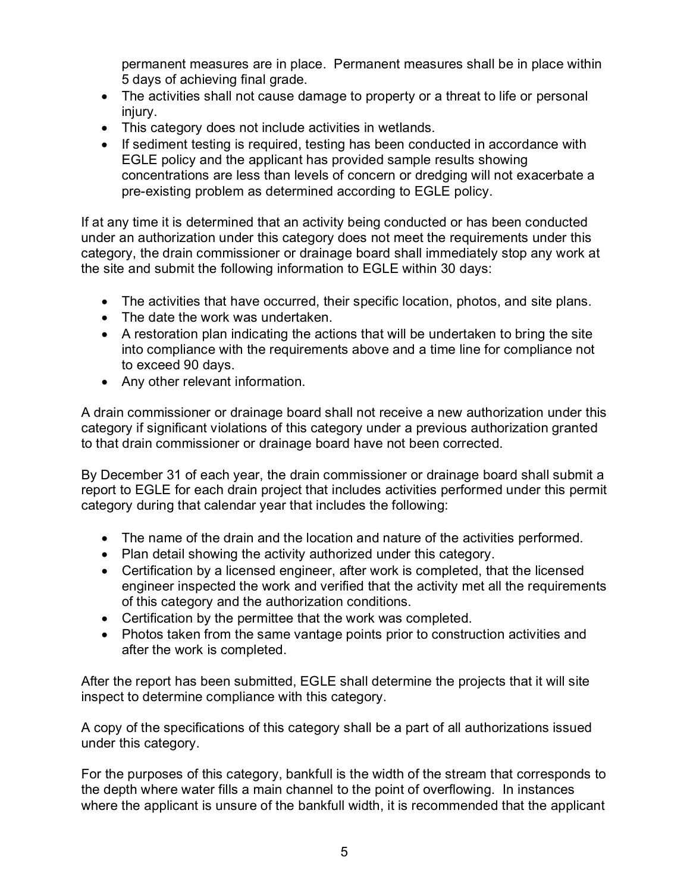permanent measures are in place. Permanent measures shall be in place within 5 days of achieving final grade.

- The activities shall not cause damage to property or a threat to life or personal injury.
- This category does not include activities in wetlands.
- If sediment testing is required, testing has been conducted in accordance with EGLE policy and the applicant has provided sample results showing concentrations are less than levels of concern or dredging will not exacerbate a pre-existing problem as determined according to EGLE policy.

If at any time it is determined that an activity being conducted or has been conducted under an authorization under this category does not meet the requirements under this category, the drain commissioner or drainage board shall immediately stop any work at the site and submit the following information to EGLE within 30 days:

- The activities that have occurred, their specific location, photos, and site plans.
- The date the work was undertaken.
- A restoration plan indicating the actions that will be undertaken to bring the site into compliance with the requirements above and a time line for compliance not to exceed 90 days.
- Any other relevant information.

A drain commissioner or drainage board shall not receive a new authorization under this category if significant violations of this category under a previous authorization granted to that drain commissioner or drainage board have not been corrected.

By December 31 of each year, the drain commissioner or drainage board shall submit a report to EGLE for each drain project that includes activities performed under this permit category during that calendar year that includes the following:

- The name of the drain and the location and nature of the activities performed.
- Plan detail showing the activity authorized under this category.
- Certification by a licensed engineer, after work is completed, that the licensed engineer inspected the work and verified that the activity met all the requirements of this category and the authorization conditions.
- Certification by the permittee that the work was completed.
- Photos taken from the same vantage points prior to construction activities and after the work is completed.

After the report has been submitted, EGLE shall determine the projects that it will site inspect to determine compliance with this category.

A copy of the specifications of this category shall be a part of all authorizations issued under this category.

For the purposes of this category, bankfull is the width of the stream that corresponds to the depth where water fills a main channel to the point of overflowing. In instances where the applicant is unsure of the bankfull width, it is recommended that the applicant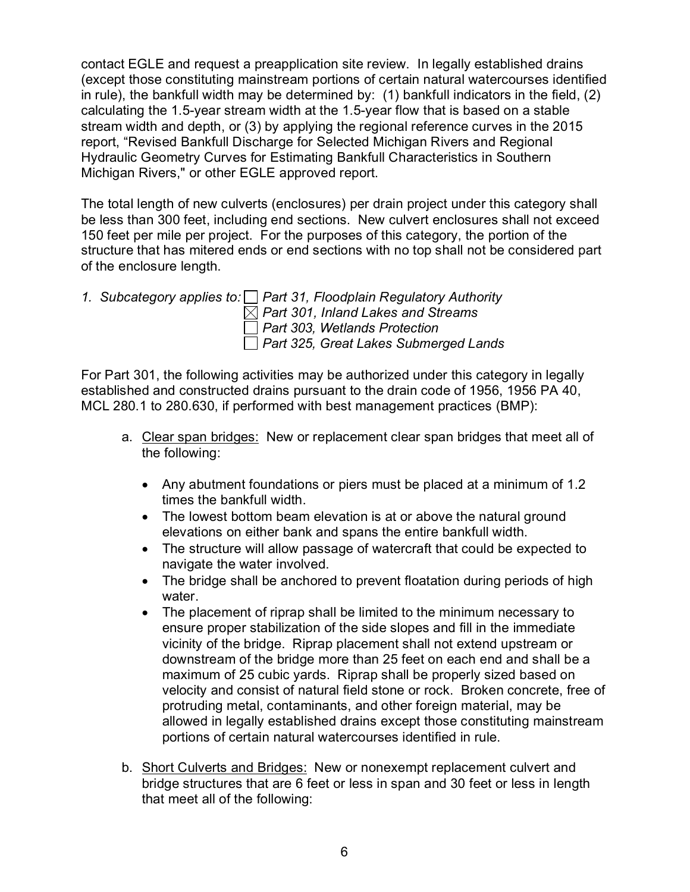contact EGLE and request a preapplication site review. In legally established drains (except those constituting mainstream portions of certain natural watercourses identified in rule), the bankfull width may be determined by: (1) bankfull indicators in the field, (2) calculating the 1.5-year stream width at the 1.5-year flow that is based on a stable stream width and depth, or (3) by applying the regional reference curves in the 2015 report, "Revised Bankfull Discharge for Selected Michigan Rivers and Regional Hydraulic Geometry Curves for Estimating Bankfull Characteristics in Southern Michigan Rivers," or other EGLE approved report.

The total length of new culverts (enclosures) per drain project under this category shall be less than 300 feet, including end sections. New culvert enclosures shall not exceed 150 feet per mile per project. For the purposes of this category, the portion of the structure that has mitered ends or end sections with no top shall not be considered part of the enclosure length.

*1. Subcategory applies to: Part 31, Floodplain Regulatory Authority Part 301, Inland Lakes and Streams Part 303, Wetlands Protection Part 325, Great Lakes Submerged Lands* 

For Part 301, the following activities may be authorized under this category in legally established and constructed drains pursuant to the drain code of 1956, 1956 PA 40, MCL 280.1 to 280.630, if performed with best management practices (BMP):

- a. Clear span bridges: New or replacement clear span bridges that meet all of the following:
	- Any abutment foundations or piers must be placed at a minimum of 1.2 times the bankfull width.
	- The lowest bottom beam elevation is at or above the natural ground elevations on either bank and spans the entire bankfull width.
	- The structure will allow passage of watercraft that could be expected to navigate the water involved.
	- The bridge shall be anchored to prevent floatation during periods of high water.
	- The placement of riprap shall be limited to the minimum necessary to ensure proper stabilization of the side slopes and fill in the immediate vicinity of the bridge. Riprap placement shall not extend upstream or downstream of the bridge more than 25 feet on each end and shall be a maximum of 25 cubic yards. Riprap shall be properly sized based on velocity and consist of natural field stone or rock. Broken concrete, free of protruding metal, contaminants, and other foreign material, may be allowed in legally established drains except those constituting mainstream portions of certain natural watercourses identified in rule.
- b. Short Culverts and Bridges: New or nonexempt replacement culvert and bridge structures that are 6 feet or less in span and 30 feet or less in length that meet all of the following: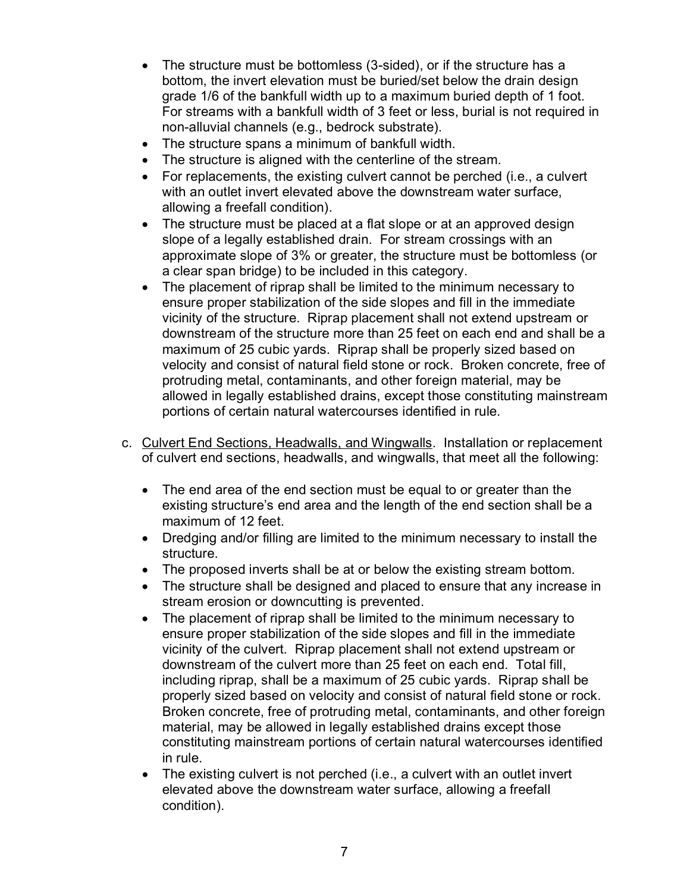- The structure must be bottomless (3-sided), or if the structure has a bottom, the invert elevation must be buried/set below the drain design grade 1/6 of the bankfull width up to a maximum buried depth of 1 foot. For streams with a bankfull width of 3 feet or less, burial is not required in non-alluvial channels (e.g., bedrock substrate).
- The structure spans a minimum of bankfull width.
- The structure is aligned with the centerline of the stream.
- For replacements, the existing culvert cannot be perched (i.e., a culvert with an outlet invert elevated above the downstream water surface, allowing a freefall condition).
- The structure must be placed at a flat slope or at an approved design slope of a legally established drain. For stream crossings with an approximate slope of 3% or greater, the structure must be bottomless (or a clear span bridge) to be included in this category.
- The placement of riprap shall be limited to the minimum necessary to ensure proper stabilization of the side slopes and fill in the immediate vicinity of the structure. Riprap placement shall not extend upstream or downstream of the structure more than 25 feet on each end and shall be a maximum of 25 cubic yards. Riprap shall be properly sized based on velocity and consist of natural field stone or rock. Broken concrete, free of protruding metal, contaminants, and other foreign material, may be allowed in legally established drains, except those constituting mainstream portions of certain natural watercourses identified in rule.
- c. Culvert End Sections, Headwalls, and Wingwalls. Installation or replacement of culvert end sections, headwalls, and wingwalls, that meet all the following:
	- The end area of the end section must be equal to or greater than the existing structure's end area and the length of the end section shall be a maximum of 12 feet.
	- Dredging and/or filling are limited to the minimum necessary to install the structure.
	- The proposed inverts shall be at or below the existing stream bottom.
	- The structure shall be designed and placed to ensure that any increase in stream erosion or downcutting is prevented.
	- The placement of riprap shall be limited to the minimum necessary to ensure proper stabilization of the side slopes and fill in the immediate vicinity of the culvert. Riprap placement shall not extend upstream or downstream of the culvert more than 25 feet on each end. Total fill, including riprap, shall be a maximum of 25 cubic yards. Riprap shall be properly sized based on velocity and consist of natural field stone or rock. Broken concrete, free of protruding metal, contaminants, and other foreign material, may be allowed in legally established drains except those constituting mainstream portions of certain natural watercourses identified in rule.
	- The existing culvert is not perched (i.e., a culvert with an outlet invert elevated above the downstream water surface, allowing a freefall condition).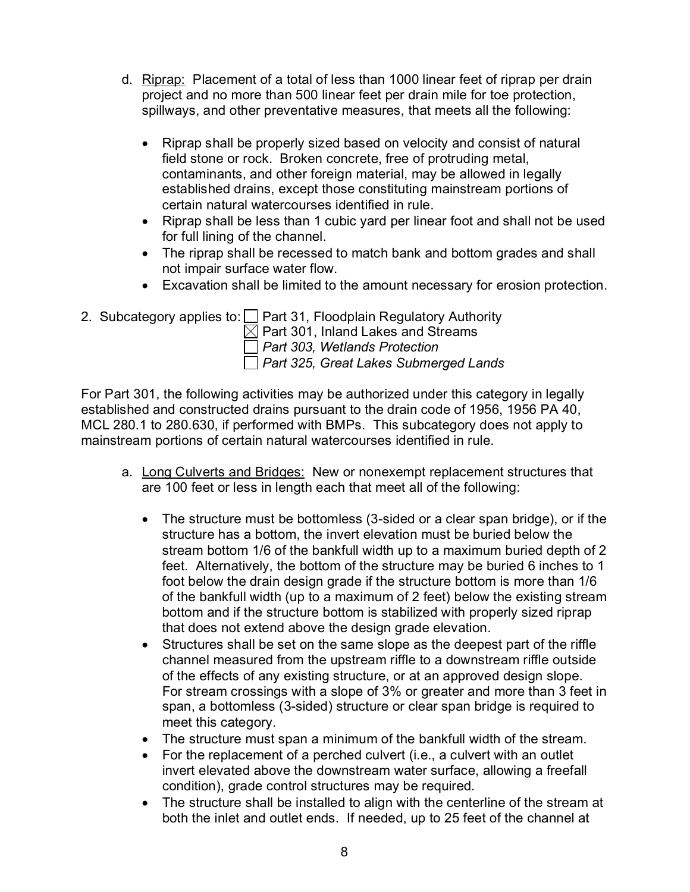- d. Riprap: Placement of a total of less than 1000 linear feet of riprap per drain project and no more than 500 linear feet per drain mile for toe protection, spillways, and other preventative measures, that meets all the following:
	- Riprap shall be properly sized based on velocity and consist of natural field stone or rock. Broken concrete, free of protruding metal, contaminants, and other foreign material, may be allowed in legally established drains, except those constituting mainstream portions of certain natural watercourses identified in rule.
	- Riprap shall be less than 1 cubic yard per linear foot and shall not be used for full lining of the channel.
	- The riprap shall be recessed to match bank and bottom grades and shall not impair surface water flow.
	- Excavation shall be limited to the amount necessary for erosion protection.
- 2. Subcategory applies to:  $\Box$  Part 31, Floodplain Regulatory Authority

 $\boxtimes$  Part 301, Inland Lakes and Streams

*Part 303, Wetlands Protection* 

*Part 325, Great Lakes Submerged Lands* 

For Part 301, the following activities may be authorized under this category in legally established and constructed drains pursuant to the drain code of 1956, 1956 PA 40, MCL 280.1 to 280.630, if performed with BMPs. This subcategory does not apply to mainstream portions of certain natural watercourses identified in rule.

- a. Long Culverts and Bridges: New or nonexempt replacement structures that are 100 feet or less in length each that meet all of the following:
	- The structure must be bottomless (3-sided or a clear span bridge), or if the structure has a bottom, the invert elevation must be buried below the stream bottom 1/6 of the bankfull width up to a maximum buried depth of 2 feet. Alternatively, the bottom of the structure may be buried 6 inches to 1 foot below the drain design grade if the structure bottom is more than 1/6 of the bankfull width (up to a maximum of 2 feet) below the existing stream bottom and if the structure bottom is stabilized with properly sized riprap that does not extend above the design grade elevation.
	- Structures shall be set on the same slope as the deepest part of the riffle channel measured from the upstream riffle to a downstream riffle outside of the effects of any existing structure, or at an approved design slope. For stream crossings with a slope of 3% or greater and more than 3 feet in span, a bottomless (3-sided) structure or clear span bridge is required to meet this category.
	- The structure must span a minimum of the bankfull width of the stream.
	- For the replacement of a perched culvert (i.e., a culvert with an outlet invert elevated above the downstream water surface, allowing a freefall condition), grade control structures may be required.
	- The structure shall be installed to align with the centerline of the stream at both the inlet and outlet ends. If needed, up to 25 feet of the channel at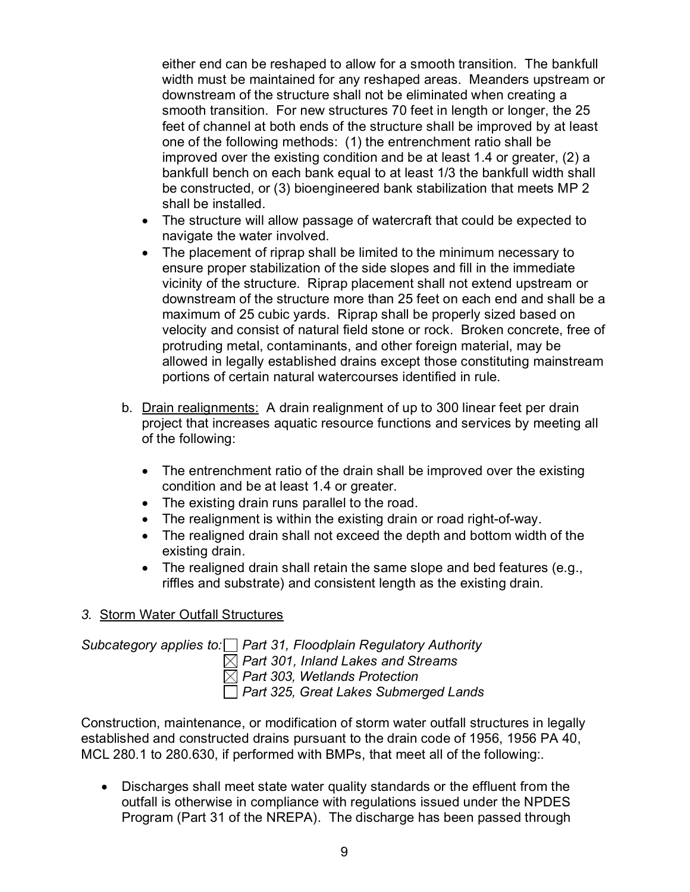either end can be reshaped to allow for a smooth transition. The bankfull width must be maintained for any reshaped areas. Meanders upstream or downstream of the structure shall not be eliminated when creating a smooth transition. For new structures 70 feet in length or longer, the 25 feet of channel at both ends of the structure shall be improved by at least one of the following methods: (1) the entrenchment ratio shall be improved over the existing condition and be at least 1.4 or greater, (2) a bankfull bench on each bank equal to at least 1/3 the bankfull width shall be constructed, or (3) bioengineered bank stabilization that meets MP 2 shall be installed.

- The structure will allow passage of watercraft that could be expected to navigate the water involved.
- The placement of riprap shall be limited to the minimum necessary to ensure proper stabilization of the side slopes and fill in the immediate vicinity of the structure. Riprap placement shall not extend upstream or downstream of the structure more than 25 feet on each end and shall be a maximum of 25 cubic yards. Riprap shall be properly sized based on velocity and consist of natural field stone or rock. Broken concrete, free of protruding metal, contaminants, and other foreign material, may be allowed in legally established drains except those constituting mainstream portions of certain natural watercourses identified in rule.
- b. Drain realignments: A drain realignment of up to 300 linear feet per drain project that increases aquatic resource functions and services by meeting all of the following:
	- The entrenchment ratio of the drain shall be improved over the existing condition and be at least 1.4 or greater.
	- The existing drain runs parallel to the road.
	- The realignment is within the existing drain or road right-of-way.
	- The realigned drain shall not exceed the depth and bottom width of the existing drain.
	- The realigned drain shall retain the same slope and bed features (e.g., riffles and substrate) and consistent length as the existing drain.

#### *3.* Storm Water Outfall Structures

*Subcategory applies to: Part 31, Floodplain Regulatory Authority Part 301, Inland Lakes and Streams Part 303, Wetlands Protection Part 325, Great Lakes Submerged Lands* 

Construction, maintenance, or modification of storm water outfall structures in legally established and constructed drains pursuant to the drain code of 1956, 1956 PA 40, MCL 280.1 to 280.630, if performed with BMPs, that meet all of the following:.

• Discharges shall meet state water quality standards or the effluent from the outfall is otherwise in compliance with regulations issued under the NPDES Program (Part 31 of the NREPA). The discharge has been passed through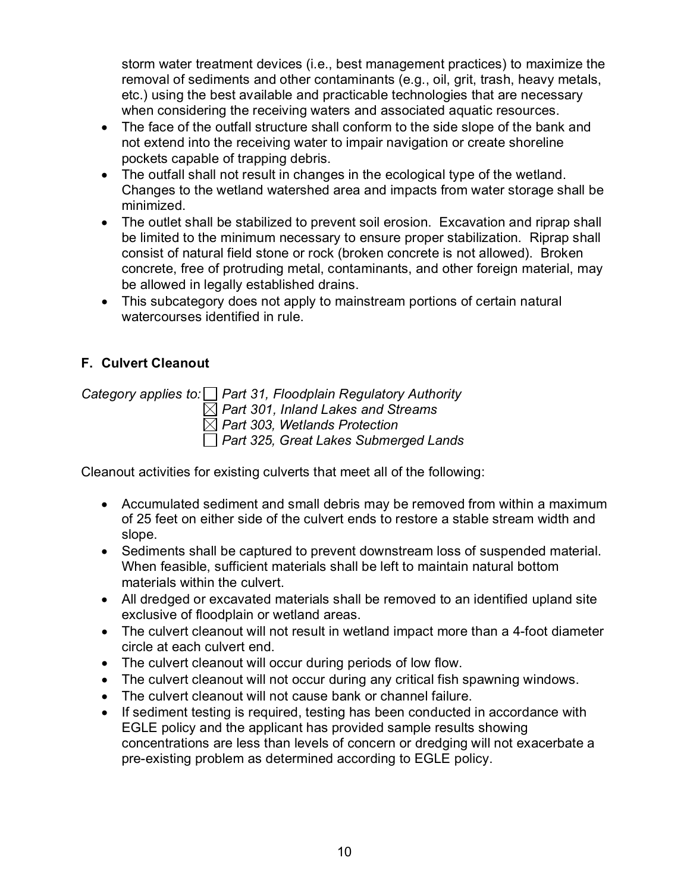storm water treatment devices (i.e., best management practices) to maximize the removal of sediments and other contaminants (e.g., oil, grit, trash, heavy metals, etc.) using the best available and practicable technologies that are necessary when considering the receiving waters and associated aquatic resources.

- The face of the outfall structure shall conform to the side slope of the bank and not extend into the receiving water to impair navigation or create shoreline pockets capable of trapping debris.
- The outfall shall not result in changes in the ecological type of the wetland. Changes to the wetland watershed area and impacts from water storage shall be minimized.
- The outlet shall be stabilized to prevent soil erosion. Excavation and riprap shall be limited to the minimum necessary to ensure proper stabilization. Riprap shall consist of natural field stone or rock (broken concrete is not allowed). Broken concrete, free of protruding metal, contaminants, and other foreign material, may be allowed in legally established drains.
- This subcategory does not apply to mainstream portions of certain natural watercourses identified in rule.

## <span id="page-14-0"></span>**F. Culvert Cleanout**

*Category applies to: Part 31, Floodplain Regulatory Authority*

*Part 301, Inland Lakes and Streams*

*Part 303, Wetlands Protection* 

*Part 325, Great Lakes Submerged Lands* 

Cleanout activities for existing culverts that meet all of the following:

- Accumulated sediment and small debris may be removed from within a maximum of 25 feet on either side of the culvert ends to restore a stable stream width and slope.
- Sediments shall be captured to prevent downstream loss of suspended material. When feasible, sufficient materials shall be left to maintain natural bottom materials within the culvert.
- All dredged or excavated materials shall be removed to an identified upland site exclusive of floodplain or wetland areas.
- The culvert cleanout will not result in wetland impact more than a 4-foot diameter circle at each culvert end.
- The culvert cleanout will occur during periods of low flow.
- The culvert cleanout will not occur during any critical fish spawning windows.
- The culvert cleanout will not cause bank or channel failure.
- If sediment testing is required, testing has been conducted in accordance with EGLE policy and the applicant has provided sample results showing concentrations are less than levels of concern or dredging will not exacerbate a pre-existing problem as determined according to EGLE policy.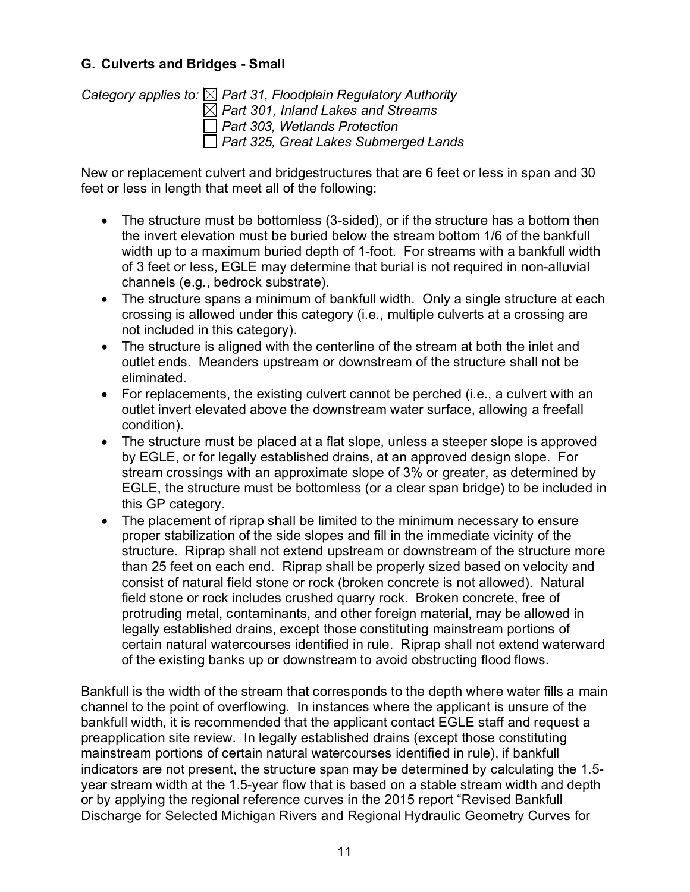#### <span id="page-15-0"></span>**G. Culverts and Bridges - Small**

*Category applies to: Part 31, Floodplain Regulatory Authority Part 301, Inland Lakes and Streams Part 303, Wetlands Protection Part 325, Great Lakes Submerged Lands* 

New or replacement culvert and bridgestructures that are 6 feet or less in span and 30 feet or less in length that meet all of the following:

- The structure must be bottomless (3-sided), or if the structure has a bottom then the invert elevation must be buried below the stream bottom 1/6 of the bankfull width up to a maximum buried depth of 1-foot. For streams with a bankfull width of 3 feet or less, EGLE may determine that burial is not required in non-alluvial channels (e.g., bedrock substrate).
- The structure spans a minimum of bankfull width. Only a single structure at each crossing is allowed under this category (i.e., multiple culverts at a crossing are not included in this category).
- The structure is aligned with the centerline of the stream at both the inlet and outlet ends. Meanders upstream or downstream of the structure shall not be eliminated.
- For replacements, the existing culvert cannot be perched (i.e., a culvert with an outlet invert elevated above the downstream water surface, allowing a freefall condition).
- The structure must be placed at a flat slope, unless a steeper slope is approved by EGLE, or for legally established drains, at an approved design slope. For stream crossings with an approximate slope of 3% or greater, as determined by EGLE, the structure must be bottomless (or a clear span bridge) to be included in this GP category.
- The placement of riprap shall be limited to the minimum necessary to ensure proper stabilization of the side slopes and fill in the immediate vicinity of the structure. Riprap shall not extend upstream or downstream of the structure more than 25 feet on each end. Riprap shall be properly sized based on velocity and consist of natural field stone or rock (broken concrete is not allowed). Natural field stone or rock includes crushed quarry rock. Broken concrete, free of protruding metal, contaminants, and other foreign material, may be allowed in legally established drains, except those constituting mainstream portions of certain natural watercourses identified in rule. Riprap shall not extend waterward of the existing banks up or downstream to avoid obstructing flood flows.

Bankfull is the width of the stream that corresponds to the depth where water fills a main channel to the point of overflowing. In instances where the applicant is unsure of the bankfull width, it is recommended that the applicant contact EGLE staff and request a preapplication site review. In legally established drains (except those constituting mainstream portions of certain natural watercourses identified in rule), if bankfull indicators are not present, the structure span may be determined by calculating the 1.5 year stream width at the 1.5-year flow that is based on a stable stream width and depth or by applying the regional reference curves in the 2015 report "Revised Bankfull Discharge for Selected Michigan Rivers and Regional Hydraulic Geometry Curves for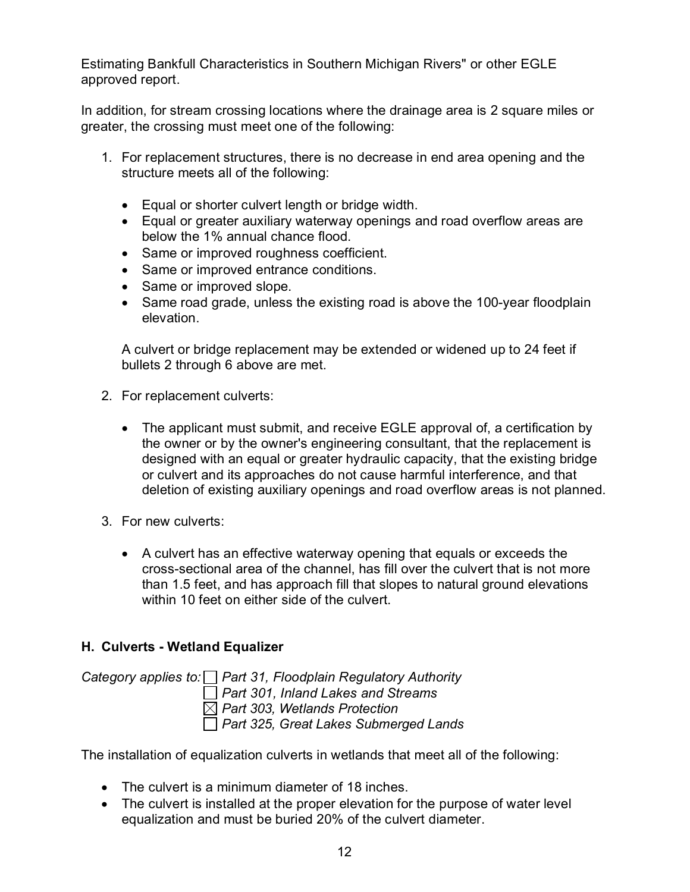Estimating Bankfull Characteristics in Southern Michigan Rivers" or other EGLE approved report.

In addition, for stream crossing locations where the drainage area is 2 square miles or greater, the crossing must meet one of the following:

- 1. For replacement structures, there is no decrease in end area opening and the structure meets all of the following:
	- Equal or shorter culvert length or bridge width.
	- Equal or greater auxiliary waterway openings and road overflow areas are below the 1% annual chance flood.
	- Same or improved roughness coefficient.
	- Same or improved entrance conditions.
	- Same or improved slope.
	- Same road grade, unless the existing road is above the 100-year floodplain elevation.

A culvert or bridge replacement may be extended or widened up to 24 feet if bullets 2 through 6 above are met.

- 2. For replacement culverts:
	- The applicant must submit, and receive EGLE approval of, a certification by the owner or by the owner's engineering consultant, that the replacement is designed with an equal or greater hydraulic capacity, that the existing bridge or culvert and its approaches do not cause harmful interference, and that deletion of existing auxiliary openings and road overflow areas is not planned.
- 3. For new culverts:
	- A culvert has an effective waterway opening that equals or exceeds the cross-sectional area of the channel, has fill over the culvert that is not more than 1.5 feet, and has approach fill that slopes to natural ground elevations within 10 feet on either side of the culvert.

#### <span id="page-16-0"></span>**H. Culverts - Wetland Equalizer**

*Category applies to: Part 31, Floodplain Regulatory Authority Part 301, Inland Lakes and Streams Part 303, Wetlands Protection Part 325, Great Lakes Submerged Lands* 

The installation of equalization culverts in wetlands that meet all of the following:

- The culvert is a minimum diameter of 18 inches.
- The culvert is installed at the proper elevation for the purpose of water level equalization and must be buried 20% of the culvert diameter.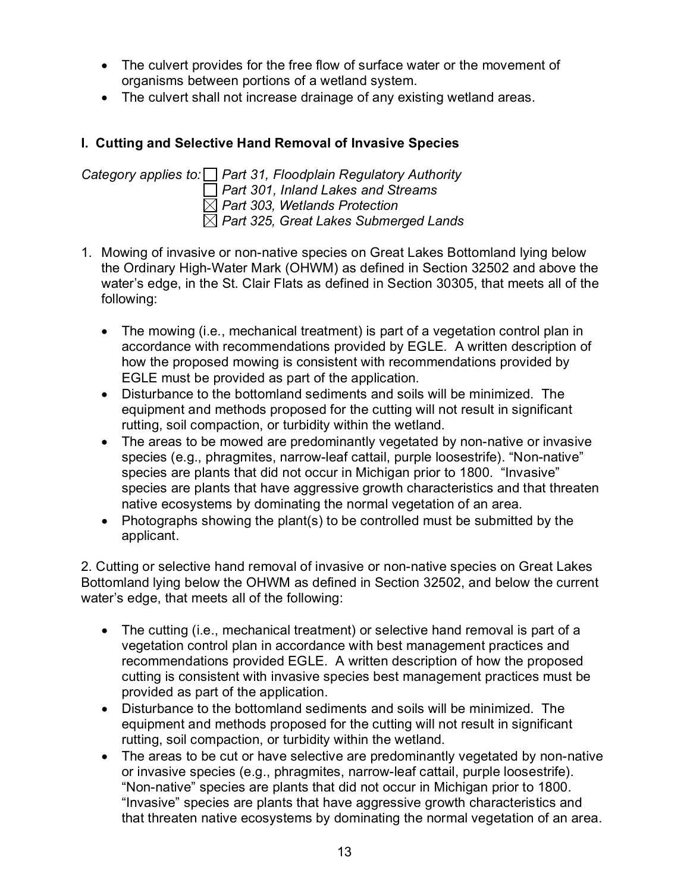- The culvert provides for the free flow of surface water or the movement of organisms between portions of a wetland system.
- The culvert shall not increase drainage of any existing wetland areas.

#### <span id="page-17-0"></span>**I. Cutting and Selective Hand Removal of Invasive Species**

*Category applies to: Part 31, Floodplain Regulatory Authority Part 301, Inland Lakes and Streams Part 303, Wetlands Protection Part 325, Great Lakes Submerged Lands* 

- 1. Mowing of invasive or non-native species on Great Lakes Bottomland lying below the Ordinary High-Water Mark (OHWM) as defined in Section 32502 and above the water's edge, in the St. Clair Flats as defined in Section 30305, that meets all of the following:
	- The mowing (i.e., mechanical treatment) is part of a vegetation control plan in accordance with recommendations provided by EGLE*.* A written description of how the proposed mowing is consistent with recommendations provided by EGLE must be provided as part of the application.
	- Disturbance to the bottomland sediments and soils will be minimized. The equipment and methods proposed for the cutting will not result in significant rutting, soil compaction, or turbidity within the wetland.
	- The areas to be mowed are predominantly vegetated by non-native or invasive species (e.g., phragmites, narrow-leaf cattail, purple loosestrife). "Non-native" species are plants that did not occur in Michigan prior to 1800. "Invasive" species are plants that have aggressive growth characteristics and that threaten native ecosystems by dominating the normal vegetation of an area.
	- Photographs showing the plant(s) to be controlled must be submitted by the applicant.

2. Cutting or selective hand removal of invasive or non-native species on Great Lakes Bottomland lying below the OHWM as defined in Section 32502, and below the current water's edge, that meets all of the following:

- The cutting (i.e., mechanical treatment) or selective hand removal is part of a vegetation control plan in accordance with best management practices and recommendations provided EGLE. A written description of how the proposed cutting is consistent with invasive species best management practices must be provided as part of the application.
- Disturbance to the bottomland sediments and soils will be minimized. The equipment and methods proposed for the cutting will not result in significant rutting, soil compaction, or turbidity within the wetland.
- The areas to be cut or have selective are predominantly vegetated by non-native or invasive species (e.g., phragmites, narrow-leaf cattail, purple loosestrife). "Non-native" species are plants that did not occur in Michigan prior to 1800. "Invasive" species are plants that have aggressive growth characteristics and that threaten native ecosystems by dominating the normal vegetation of an area.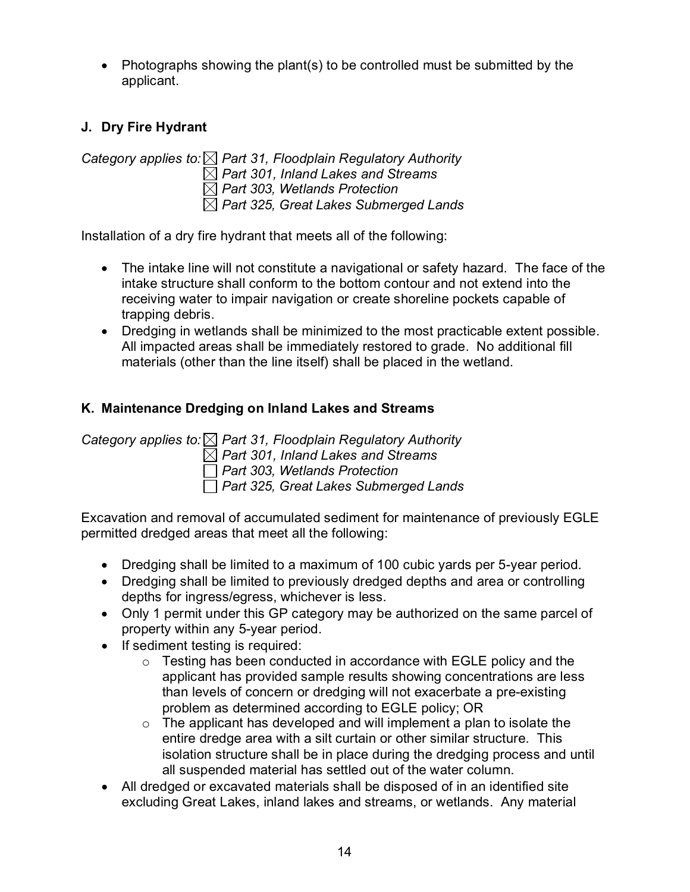• Photographs showing the plant(s) to be controlled must be submitted by the applicant.

## <span id="page-18-0"></span>**J. Dry Fire Hydrant**

*Category applies to: Part 31, Floodplain Regulatory Authority Part 301, Inland Lakes and Streams Part 303, Wetlands Protection Part 325, Great Lakes Submerged Lands* 

Installation of a dry fire hydrant that meets all of the following:

- The intake line will not constitute a navigational or safety hazard. The face of the intake structure shall conform to the bottom contour and not extend into the receiving water to impair navigation or create shoreline pockets capable of trapping debris.
- Dredging in wetlands shall be minimized to the most practicable extent possible. All impacted areas shall be immediately restored to grade. No additional fill materials (other than the line itself) shall be placed in the wetland.

## <span id="page-18-1"></span>**K. Maintenance Dredging on Inland Lakes and Streams**

*Category applies to: Part 31, Floodplain Regulatory Authority Part 301, Inland Lakes and Streams Part 303, Wetlands Protection Part 325, Great Lakes Submerged Lands* 

Excavation and removal of accumulated sediment for maintenance of previously EGLE permitted dredged areas that meet all the following:

- Dredging shall be limited to a maximum of 100 cubic yards per 5-year period.
- Dredging shall be limited to previously dredged depths and area or controlling depths for ingress/egress, whichever is less.
- Only 1 permit under this GP category may be authorized on the same parcel of property within any 5-year period.
- If sediment testing is required:
	- $\circ$  Testing has been conducted in accordance with EGLE policy and the applicant has provided sample results showing concentrations are less than levels of concern or dredging will not exacerbate a pre-existing problem as determined according to EGLE policy; OR
	- $\circ$  The applicant has developed and will implement a plan to isolate the entire dredge area with a silt curtain or other similar structure. This isolation structure shall be in place during the dredging process and until all suspended material has settled out of the water column.
- All dredged or excavated materials shall be disposed of in an identified site excluding Great Lakes, inland lakes and streams, or wetlands. Any material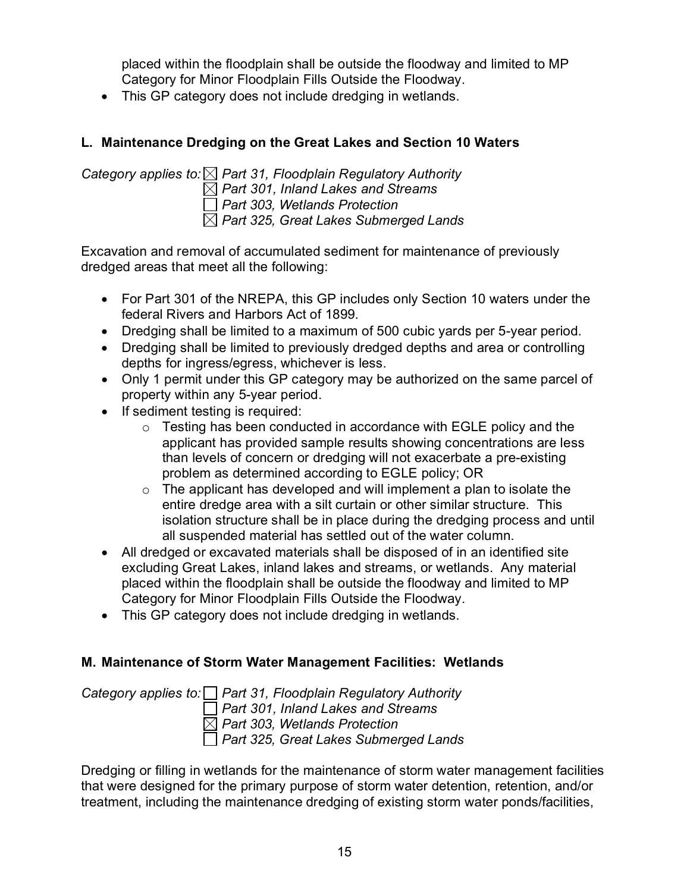placed within the floodplain shall be outside the floodway and limited to MP Category for Minor Floodplain Fills Outside the Floodway.

• This GP category does not include dredging in wetlands.

## <span id="page-19-0"></span>**L. Maintenance Dredging on the Great Lakes and Section 10 Waters**

*Category applies to: Part 31, Floodplain Regulatory Authority Part 301, Inland Lakes and Streams Part 303, Wetlands Protection Part 325, Great Lakes Submerged Lands* 

Excavation and removal of accumulated sediment for maintenance of previously dredged areas that meet all the following:

- For Part 301 of the NREPA, this GP includes only Section 10 waters under the federal Rivers and Harbors Act of 1899.
- Dredging shall be limited to a maximum of 500 cubic yards per 5-year period.
- Dredging shall be limited to previously dredged depths and area or controlling depths for ingress/egress, whichever is less.
- Only 1 permit under this GP category may be authorized on the same parcel of property within any 5-year period.
- If sediment testing is required:
	- $\circ$  Testing has been conducted in accordance with EGLE policy and the applicant has provided sample results showing concentrations are less than levels of concern or dredging will not exacerbate a pre-existing problem as determined according to EGLE policy; OR
	- $\circ$  The applicant has developed and will implement a plan to isolate the entire dredge area with a silt curtain or other similar structure. This isolation structure shall be in place during the dredging process and until all suspended material has settled out of the water column.
- All dredged or excavated materials shall be disposed of in an identified site excluding Great Lakes, inland lakes and streams, or wetlands. Any material placed within the floodplain shall be outside the floodway and limited to MP Category for Minor Floodplain Fills Outside the Floodway.
- This GP category does not include dredging in wetlands.

## <span id="page-19-1"></span>**M. Maintenance of Storm Water Management Facilities: Wetlands**

*Category applies to: Part 31, Floodplain Regulatory Authority Part 301, Inland Lakes and Streams Part 303, Wetlands Protection Part 325, Great Lakes Submerged Lands* 

Dredging or filling in wetlands for the maintenance of storm water management facilities that were designed for the primary purpose of storm water detention, retention, and/or treatment, including the maintenance dredging of existing storm water ponds/facilities,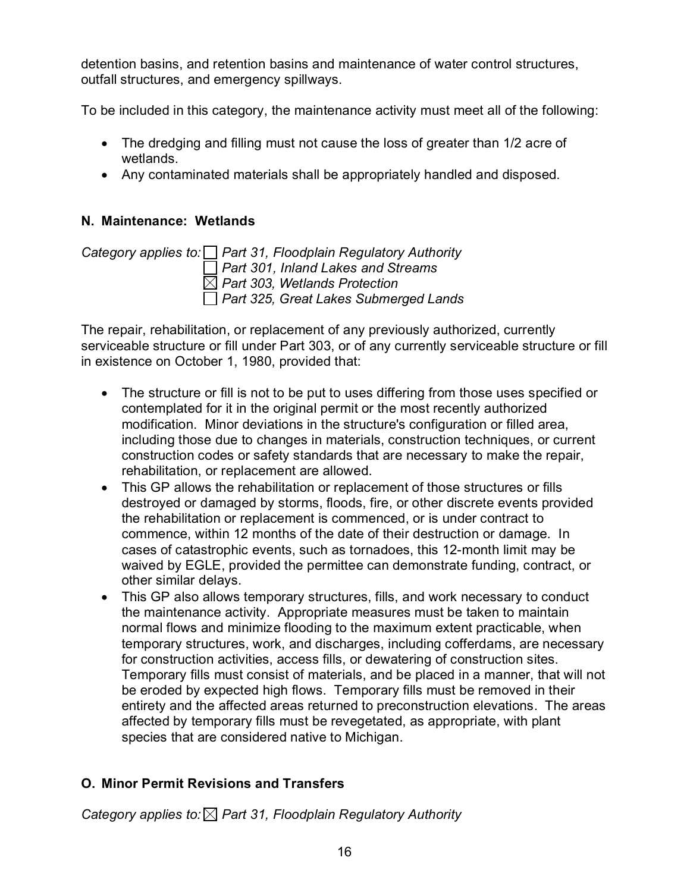detention basins, and retention basins and maintenance of water control structures, outfall structures, and emergency spillways.

To be included in this category, the maintenance activity must meet all of the following:

- The dredging and filling must not cause the loss of greater than 1/2 acre of wetlands.
- Any contaminated materials shall be appropriately handled and disposed.

#### <span id="page-20-0"></span>**N. Maintenance: Wetlands**

*Category applies to: Part 31, Floodplain Regulatory Authority Part 301, Inland Lakes and Streams Part 303, Wetlands Protection Part 325, Great Lakes Submerged Lands* 

The repair, rehabilitation, or replacement of any previously authorized, currently serviceable structure or fill under Part 303, or of any currently serviceable structure or fill in existence on October 1, 1980, provided that:

- The structure or fill is not to be put to uses differing from those uses specified or contemplated for it in the original permit or the most recently authorized modification. Minor deviations in the structure's configuration or filled area, including those due to changes in materials, construction techniques, or current construction codes or safety standards that are necessary to make the repair, rehabilitation, or replacement are allowed.
- This GP allows the rehabilitation or replacement of those structures or fills destroyed or damaged by storms, floods, fire, or other discrete events provided the rehabilitation or replacement is commenced, or is under contract to commence, within 12 months of the date of their destruction or damage. In cases of catastrophic events, such as tornadoes, this 12-month limit may be waived by EGLE, provided the permittee can demonstrate funding, contract, or other similar delays.
- This GP also allows temporary structures, fills, and work necessary to conduct the maintenance activity. Appropriate measures must be taken to maintain normal flows and minimize flooding to the maximum extent practicable, when temporary structures, work, and discharges, including cofferdams, are necessary for construction activities, access fills, or dewatering of construction sites. Temporary fills must consist of materials, and be placed in a manner, that will not be eroded by expected high flows. Temporary fills must be removed in their entirety and the affected areas returned to preconstruction elevations. The areas affected by temporary fills must be revegetated, as appropriate, with plant species that are considered native to Michigan.

#### <span id="page-20-1"></span>**O. Minor Permit Revisions and Transfers**

*Category applies to: Part 31, Floodplain Regulatory Authority*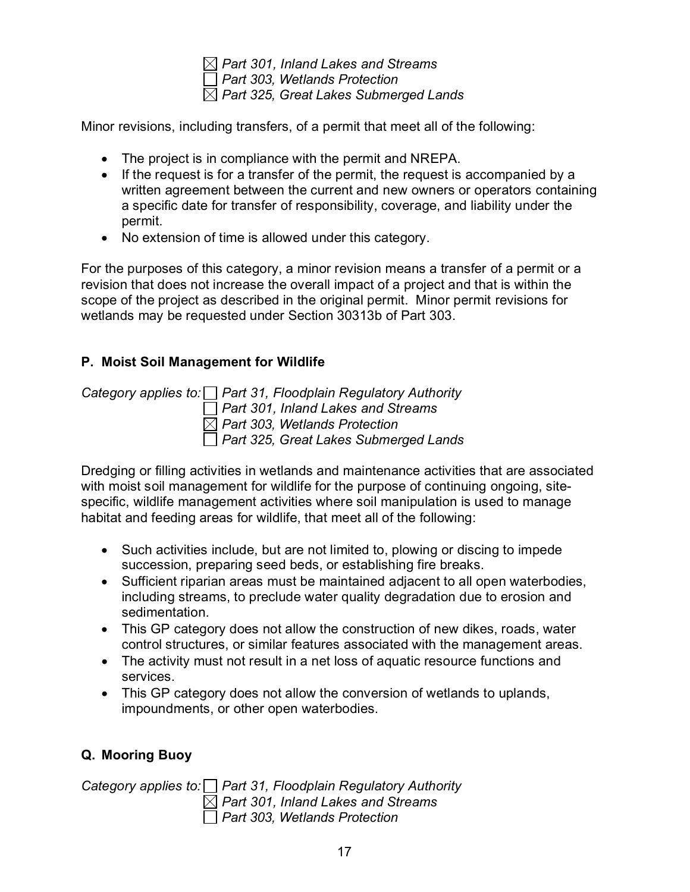*Part 301, Inland Lakes and Streams Part 303, Wetlands Protection Part 325, Great Lakes Submerged Lands* 

Minor revisions, including transfers, of a permit that meet all of the following:

- The project is in compliance with the permit and NREPA.
- If the request is for a transfer of the permit, the request is accompanied by a written agreement between the current and new owners or operators containing a specific date for transfer of responsibility, coverage, and liability under the permit.
- No extension of time is allowed under this category.

For the purposes of this category, a minor revision means a transfer of a permit or a revision that does not increase the overall impact of a project and that is within the scope of the project as described in the original permit. Minor permit revisions for wetlands may be requested under Section 30313b of Part 303.

## <span id="page-21-0"></span>**P. Moist Soil Management for Wildlife**

*Category applies to: Part 31, Floodplain Regulatory Authority Part 301, Inland Lakes and Streams Part 303, Wetlands Protection Part 325, Great Lakes Submerged Lands* 

Dredging or filling activities in wetlands and maintenance activities that are associated with moist soil management for wildlife for the purpose of continuing ongoing, sitespecific, wildlife management activities where soil manipulation is used to manage habitat and feeding areas for wildlife, that meet all of the following:

- Such activities include, but are not limited to, plowing or discing to impede succession, preparing seed beds, or establishing fire breaks.
- Sufficient riparian areas must be maintained adjacent to all open waterbodies, including streams, to preclude water quality degradation due to erosion and sedimentation.
- This GP category does not allow the construction of new dikes, roads, water control structures, or similar features associated with the management areas.
- The activity must not result in a net loss of aquatic resource functions and services.
- This GP category does not allow the conversion of wetlands to uplands, impoundments, or other open waterbodies.

## <span id="page-21-1"></span>**Q. Mooring Buoy**

*Category applies to: Part 31, Floodplain Regulatory Authority Part 301, Inland Lakes and Streams Part 303, Wetlands Protection*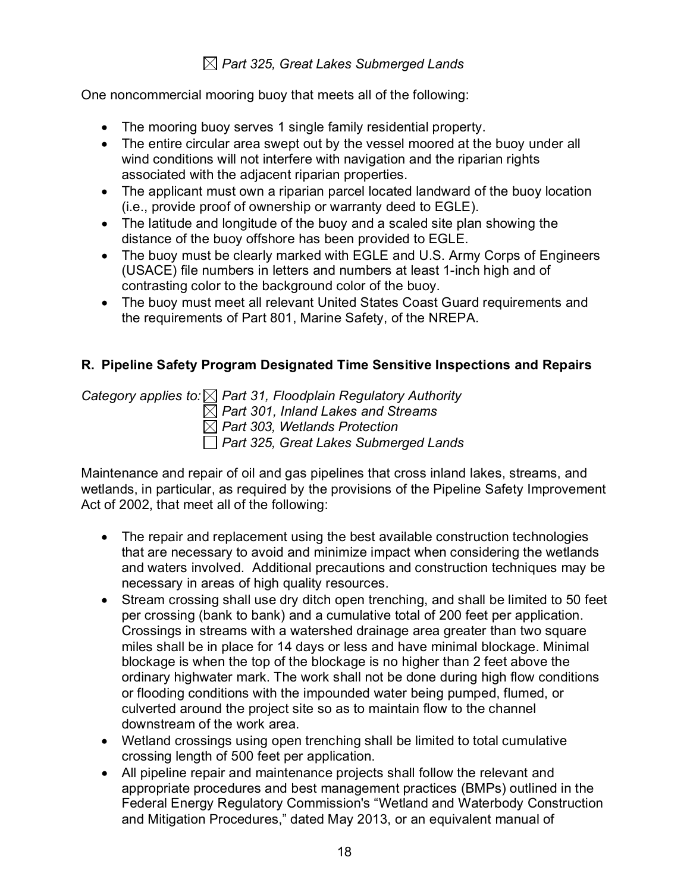## *Part 325, Great Lakes Submerged Lands*

One noncommercial mooring buoy that meets all of the following:

- The mooring buoy serves 1 single family residential property.
- The entire circular area swept out by the vessel moored at the buoy under all wind conditions will not interfere with navigation and the riparian rights associated with the adjacent riparian properties.
- The applicant must own a riparian parcel located landward of the buoy location (i.e., provide proof of ownership or warranty deed to EGLE).
- The latitude and longitude of the buoy and a scaled site plan showing the distance of the buoy offshore has been provided to EGLE.
- The buoy must be clearly marked with EGLE and U.S. Army Corps of Engineers (USACE) file numbers in letters and numbers at least 1-inch high and of contrasting color to the background color of the buoy.
- The buoy must meet all relevant United States Coast Guard requirements and the requirements of Part 801, Marine Safety, of the NREPA.

#### <span id="page-22-0"></span>**R. Pipeline Safety Program Designated Time Sensitive Inspections and Repairs**

*Category applies to: Part 31, Floodplain Regulatory Authority Part 301, Inland Lakes and Streams*

*Part 303, Wetlands Protection* 

*Part 325, Great Lakes Submerged Lands* 

Maintenance and repair of oil and gas pipelines that cross inland lakes, streams, and wetlands, in particular, as required by the provisions of the Pipeline Safety Improvement Act of 2002, that meet all of the following:

- The repair and replacement using the best available construction technologies that are necessary to avoid and minimize impact when considering the wetlands and waters involved. Additional precautions and construction techniques may be necessary in areas of high quality resources.
- Stream crossing shall use dry ditch open trenching, and shall be limited to 50 feet per crossing (bank to bank) and a cumulative total of 200 feet per application. Crossings in streams with a watershed drainage area greater than two square miles shall be in place for 14 days or less and have minimal blockage. Minimal blockage is when the top of the blockage is no higher than 2 feet above the ordinary highwater mark. The work shall not be done during high flow conditions or flooding conditions with the impounded water being pumped, flumed, or culverted around the project site so as to maintain flow to the channel downstream of the work area.
- Wetland crossings using open trenching shall be limited to total cumulative crossing length of 500 feet per application.
- All pipeline repair and maintenance projects shall follow the relevant and appropriate procedures and best management practices (BMPs) outlined in the Federal Energy Regulatory Commission's "Wetland and Waterbody Construction and Mitigation Procedures," dated May 2013, or an equivalent manual of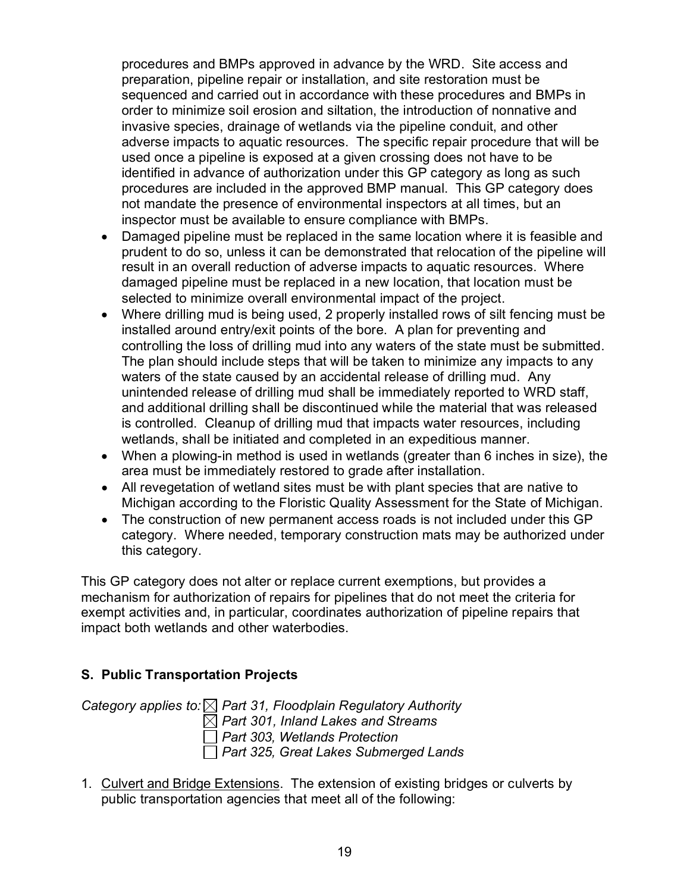procedures and BMPs approved in advance by the WRD. Site access and preparation, pipeline repair or installation, and site restoration must be sequenced and carried out in accordance with these procedures and BMPs in order to minimize soil erosion and siltation, the introduction of nonnative and invasive species, drainage of wetlands via the pipeline conduit, and other adverse impacts to aquatic resources. The specific repair procedure that will be used once a pipeline is exposed at a given crossing does not have to be identified in advance of authorization under this GP category as long as such procedures are included in the approved BMP manual. This GP category does not mandate the presence of environmental inspectors at all times, but an inspector must be available to ensure compliance with BMPs.

- Damaged pipeline must be replaced in the same location where it is feasible and prudent to do so, unless it can be demonstrated that relocation of the pipeline will result in an overall reduction of adverse impacts to aquatic resources. Where damaged pipeline must be replaced in a new location, that location must be selected to minimize overall environmental impact of the project.
- Where drilling mud is being used, 2 properly installed rows of silt fencing must be installed around entry/exit points of the bore. A plan for preventing and controlling the loss of drilling mud into any waters of the state must be submitted. The plan should include steps that will be taken to minimize any impacts to any waters of the state caused by an accidental release of drilling mud. Any unintended release of drilling mud shall be immediately reported to WRD staff, and additional drilling shall be discontinued while the material that was released is controlled. Cleanup of drilling mud that impacts water resources, including wetlands, shall be initiated and completed in an expeditious manner.
- When a plowing-in method is used in wetlands (greater than 6 inches in size), the area must be immediately restored to grade after installation.
- All revegetation of wetland sites must be with plant species that are native to Michigan according to the Floristic Quality Assessment for the State of Michigan.
- The construction of new permanent access roads is not included under this GP category. Where needed, temporary construction mats may be authorized under this category.

This GP category does not alter or replace current exemptions, but provides a mechanism for authorization of repairs for pipelines that do not meet the criteria for exempt activities and, in particular, coordinates authorization of pipeline repairs that impact both wetlands and other waterbodies.

## <span id="page-23-0"></span>**S. Public Transportation Projects**

*Category applies to: Part 31, Floodplain Regulatory Authority Part 301, Inland Lakes and Streams Part 303, Wetlands Protection Part 325, Great Lakes Submerged Lands* 

1. Culvert and Bridge Extensions. The extension of existing bridges or culverts by public transportation agencies that meet all of the following: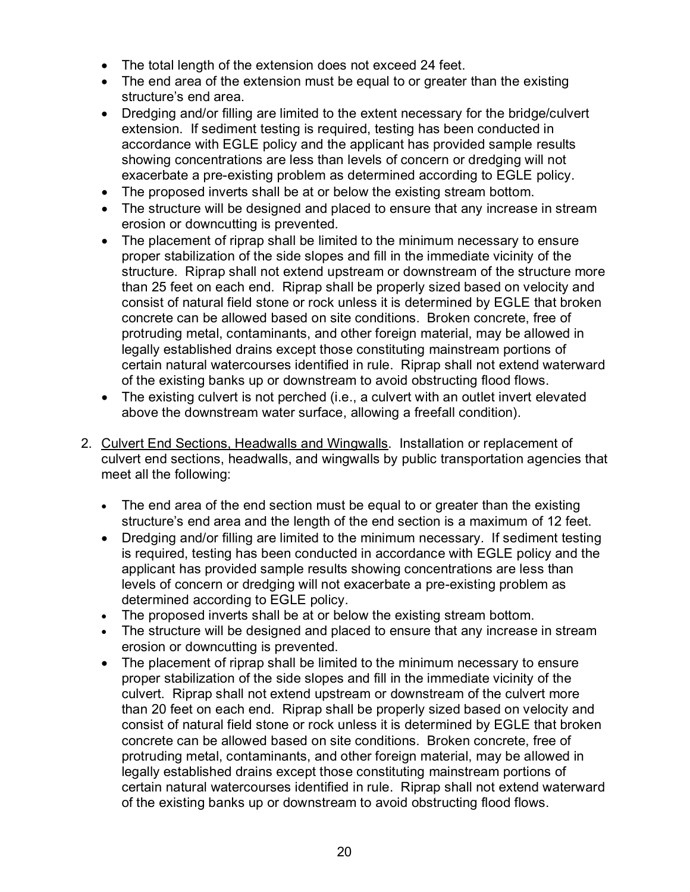- The total length of the extension does not exceed 24 feet.
- The end area of the extension must be equal to or greater than the existing structure's end area.
- Dredging and/or filling are limited to the extent necessary for the bridge/culvert extension. If sediment testing is required, testing has been conducted in accordance with EGLE policy and the applicant has provided sample results showing concentrations are less than levels of concern or dredging will not exacerbate a pre-existing problem as determined according to EGLE policy.
- The proposed inverts shall be at or below the existing stream bottom.
- The structure will be designed and placed to ensure that any increase in stream erosion or downcutting is prevented.
- The placement of riprap shall be limited to the minimum necessary to ensure proper stabilization of the side slopes and fill in the immediate vicinity of the structure. Riprap shall not extend upstream or downstream of the structure more than 25 feet on each end. Riprap shall be properly sized based on velocity and consist of natural field stone or rock unless it is determined by EGLE that broken concrete can be allowed based on site conditions. Broken concrete, free of protruding metal, contaminants, and other foreign material, may be allowed in legally established drains except those constituting mainstream portions of certain natural watercourses identified in rule. Riprap shall not extend waterward of the existing banks up or downstream to avoid obstructing flood flows.
- The existing culvert is not perched (i.e., a culvert with an outlet invert elevated above the downstream water surface, allowing a freefall condition).
- 2. Culvert End Sections, Headwalls and Wingwalls. Installation or replacement of culvert end sections, headwalls, and wingwalls by public transportation agencies that meet all the following:
	- The end area of the end section must be equal to or greater than the existing structure's end area and the length of the end section is a maximum of 12 feet.
	- Dredging and/or filling are limited to the minimum necessary. If sediment testing is required, testing has been conducted in accordance with EGLE policy and the applicant has provided sample results showing concentrations are less than levels of concern or dredging will not exacerbate a pre-existing problem as determined according to EGLE policy.
	- The proposed inverts shall be at or below the existing stream bottom.
	- The structure will be designed and placed to ensure that any increase in stream erosion or downcutting is prevented.
	- The placement of riprap shall be limited to the minimum necessary to ensure proper stabilization of the side slopes and fill in the immediate vicinity of the culvert. Riprap shall not extend upstream or downstream of the culvert more than 20 feet on each end. Riprap shall be properly sized based on velocity and consist of natural field stone or rock unless it is determined by EGLE that broken concrete can be allowed based on site conditions. Broken concrete, free of protruding metal, contaminants, and other foreign material, may be allowed in legally established drains except those constituting mainstream portions of certain natural watercourses identified in rule. Riprap shall not extend waterward of the existing banks up or downstream to avoid obstructing flood flows.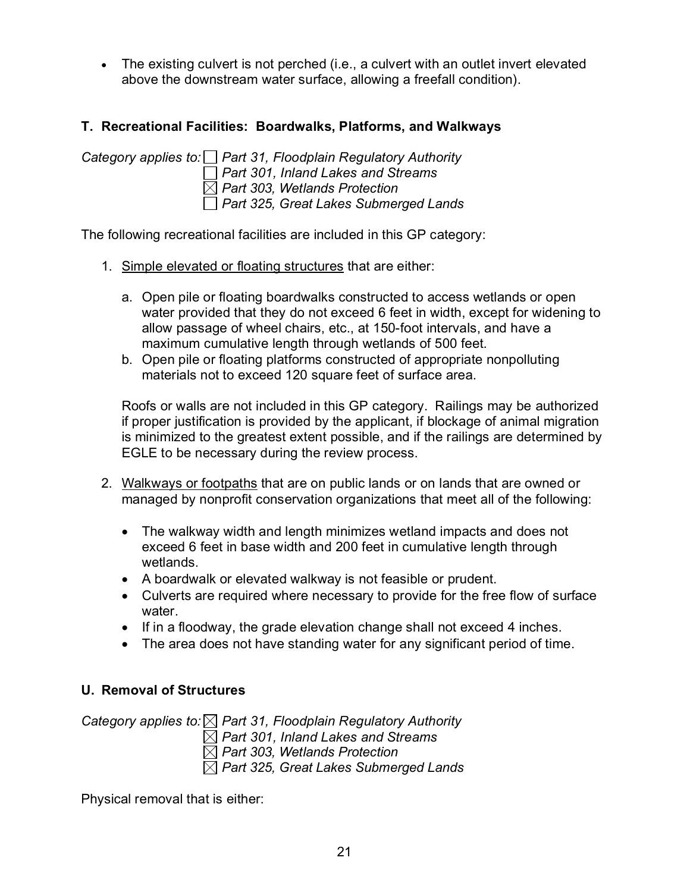• The existing culvert is not perched (i.e., a culvert with an outlet invert elevated above the downstream water surface, allowing a freefall condition).

#### <span id="page-25-0"></span>**T. Recreational Facilities: Boardwalks, Platforms, and Walkways**

*Category applies to: Part 31, Floodplain Regulatory Authority Part 301, Inland Lakes and Streams Part 303, Wetlands Protection Part 325, Great Lakes Submerged Lands* 

The following recreational facilities are included in this GP category:

- 1. Simple elevated or floating structures that are either:
	- a. Open pile or floating boardwalks constructed to access wetlands or open water provided that they do not exceed 6 feet in width, except for widening to allow passage of wheel chairs, etc., at 150-foot intervals, and have a maximum cumulative length through wetlands of 500 feet.
	- b. Open pile or floating platforms constructed of appropriate nonpolluting materials not to exceed 120 square feet of surface area.

Roofs or walls are not included in this GP category. Railings may be authorized if proper justification is provided by the applicant, if blockage of animal migration is minimized to the greatest extent possible, and if the railings are determined by EGLE to be necessary during the review process.

- 2. Walkways or footpaths that are on public lands or on lands that are owned or managed by nonprofit conservation organizations that meet all of the following:
	- The walkway width and length minimizes wetland impacts and does not exceed 6 feet in base width and 200 feet in cumulative length through wetlands.
	- A boardwalk or elevated walkway is not feasible or prudent.
	- Culverts are required where necessary to provide for the free flow of surface water.
	- If in a floodway, the grade elevation change shall not exceed 4 inches.
	- The area does not have standing water for any significant period of time.

#### <span id="page-25-1"></span>**U. Removal of Structures**

*Category applies to: Part 31, Floodplain Regulatory Authority Part 301, Inland Lakes and Streams Part 303, Wetlands Protection Part 325, Great Lakes Submerged Lands* 

Physical removal that is either: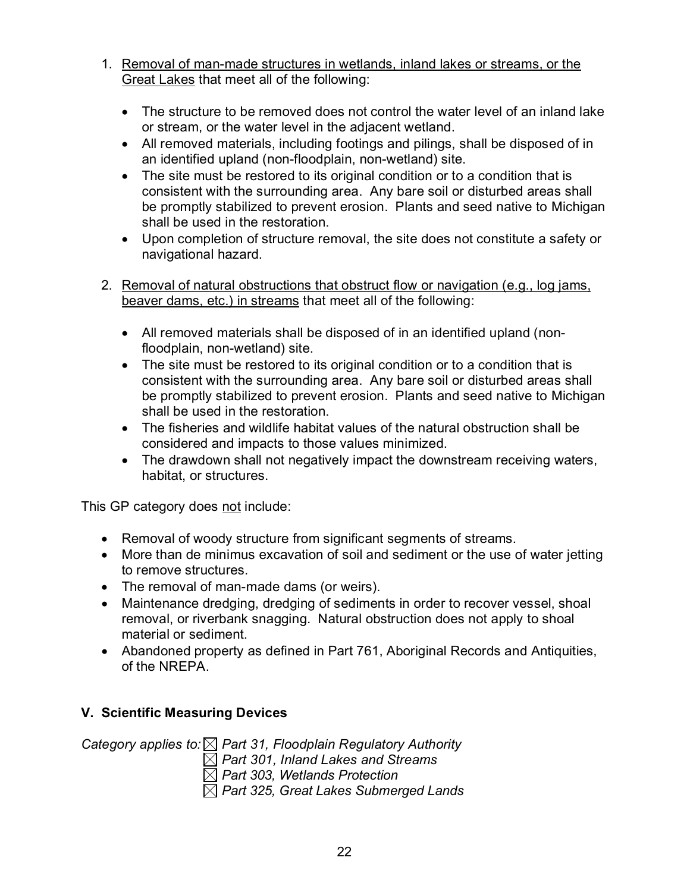- 1. Removal of man-made structures in wetlands, inland lakes or streams, or the Great Lakes that meet all of the following:
	- The structure to be removed does not control the water level of an inland lake or stream, or the water level in the adjacent wetland.
	- All removed materials, including footings and pilings, shall be disposed of in an identified upland (non-floodplain, non-wetland) site.
	- The site must be restored to its original condition or to a condition that is consistent with the surrounding area. Any bare soil or disturbed areas shall be promptly stabilized to prevent erosion. Plants and seed native to Michigan shall be used in the restoration.
	- Upon completion of structure removal, the site does not constitute a safety or navigational hazard.
- 2. Removal of natural obstructions that obstruct flow or navigation (e.g., log jams, beaver dams, etc.) in streams that meet all of the following:
	- All removed materials shall be disposed of in an identified upland (nonfloodplain, non-wetland) site.
	- The site must be restored to its original condition or to a condition that is consistent with the surrounding area. Any bare soil or disturbed areas shall be promptly stabilized to prevent erosion. Plants and seed native to Michigan shall be used in the restoration.
	- The fisheries and wildlife habitat values of the natural obstruction shall be considered and impacts to those values minimized.
	- The drawdown shall not negatively impact the downstream receiving waters, habitat, or structures.

This GP category does not include:

- Removal of woody structure from significant segments of streams.
- More than de minimus excavation of soil and sediment or the use of water jetting to remove structures.
- The removal of man-made dams (or weirs).
- Maintenance dredging, dredging of sediments in order to recover vessel, shoal removal, or riverbank snagging. Natural obstruction does not apply to shoal material or sediment.
- Abandoned property as defined in Part 761, Aboriginal Records and Antiquities, of the NREPA.

## <span id="page-26-0"></span>**V. Scientific Measuring Devices**

*Category applies to: Part 31, Floodplain Regulatory Authority*

*Part 301, Inland Lakes and Streams*

*Part 303, Wetlands Protection* 

*Part 325, Great Lakes Submerged Lands*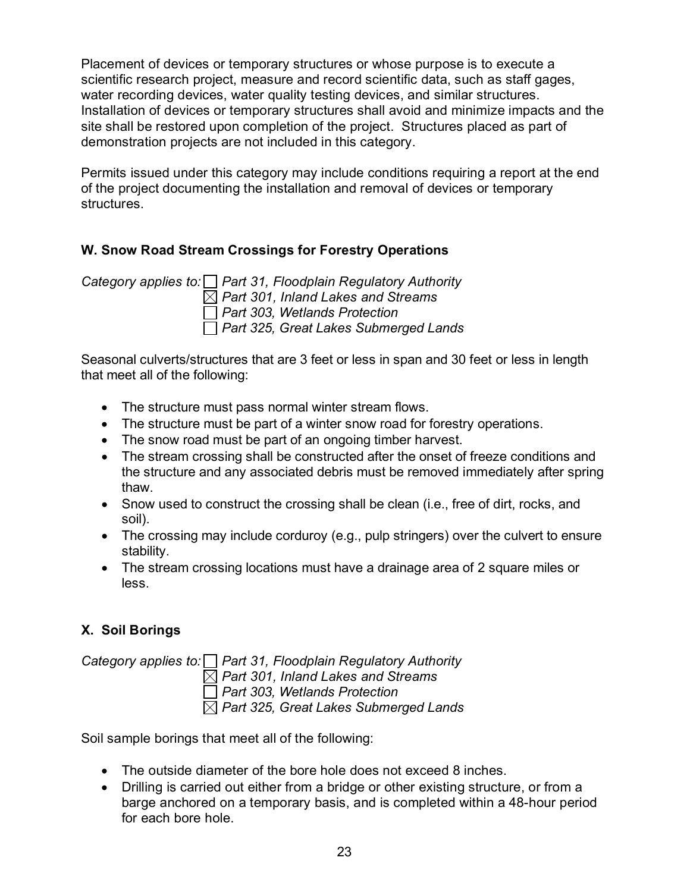Placement of devices or temporary structures or whose purpose is to execute a scientific research project, measure and record scientific data, such as staff gages, water recording devices, water quality testing devices, and similar structures. Installation of devices or temporary structures shall avoid and minimize impacts and the site shall be restored upon completion of the project. Structures placed as part of demonstration projects are not included in this category.

Permits issued under this category may include conditions requiring a report at the end of the project documenting the installation and removal of devices or temporary structures.

## <span id="page-27-0"></span>**W. Snow Road Stream Crossings for Forestry Operations**

*Category applies to: Part 31, Floodplain Regulatory Authority Part 301, Inland Lakes and Streams Part 303, Wetlands Protection Part 325, Great Lakes Submerged Lands* 

Seasonal culverts/structures that are 3 feet or less in span and 30 feet or less in length that meet all of the following:

- The structure must pass normal winter stream flows.
- The structure must be part of a winter snow road for forestry operations.
- The snow road must be part of an ongoing timber harvest.
- The stream crossing shall be constructed after the onset of freeze conditions and the structure and any associated debris must be removed immediately after spring thaw.
- Snow used to construct the crossing shall be clean (i.e., free of dirt, rocks, and soil).
- The crossing may include corduroy (e.g., pulp stringers) over the culvert to ensure stability.
- The stream crossing locations must have a drainage area of 2 square miles or less.

## <span id="page-27-1"></span>**X. Soil Borings**

*Category applies to: Part 31, Floodplain Regulatory Authority Part 301, Inland Lakes and Streams Part 303, Wetlands Protection* 

*Part 325, Great Lakes Submerged Lands* 

Soil sample borings that meet all of the following:

- The outside diameter of the bore hole does not exceed 8 inches.
- Drilling is carried out either from a bridge or other existing structure, or from a barge anchored on a temporary basis, and is completed within a 48-hour period for each bore hole.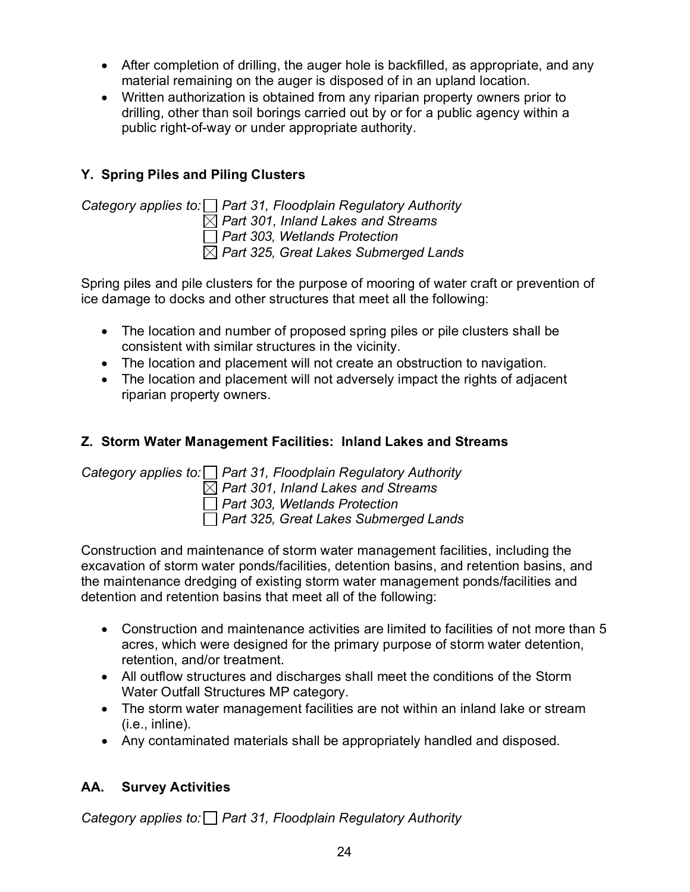- After completion of drilling, the auger hole is backfilled, as appropriate, and any material remaining on the auger is disposed of in an upland location.
- Written authorization is obtained from any riparian property owners prior to drilling, other than soil borings carried out by or for a public agency within a public right-of-way or under appropriate authority.

## <span id="page-28-0"></span>**Y. Spring Piles and Piling Clusters**



*Category applies to: Part 31, Floodplain Regulatory Authority Part 301, Inland Lakes and Streams Part 303, Wetlands Protection Part 325, Great Lakes Submerged Lands* 

Spring piles and pile clusters for the purpose of mooring of water craft or prevention of ice damage to docks and other structures that meet all the following:

- The location and number of proposed spring piles or pile clusters shall be consistent with similar structures in the vicinity.
- The location and placement will not create an obstruction to navigation.
- The location and placement will not adversely impact the rights of adjacent riparian property owners.

# <span id="page-28-1"></span>**Z. Storm Water Management Facilities: Inland Lakes and Streams**

*Category applies to: Part 31, Floodplain Regulatory Authority Part 301, Inland Lakes and Streams Part 303, Wetlands Protection Part 325, Great Lakes Submerged Lands* 

Construction and maintenance of storm water management facilities, including the excavation of storm water ponds/facilities, detention basins, and retention basins, and the maintenance dredging of existing storm water management ponds/facilities and detention and retention basins that meet all of the following:

- Construction and maintenance activities are limited to facilities of not more than 5 acres, which were designed for the primary purpose of storm water detention, retention, and/or treatment.
- All outflow structures and discharges shall meet the conditions of the Storm Water Outfall Structures MP category.
- The storm water management facilities are not within an inland lake or stream (i.e., inline).
- Any contaminated materials shall be appropriately handled and disposed.

## <span id="page-28-2"></span>**AA. Survey Activities**

*Category applies to: Part 31, Floodplain Regulatory Authority*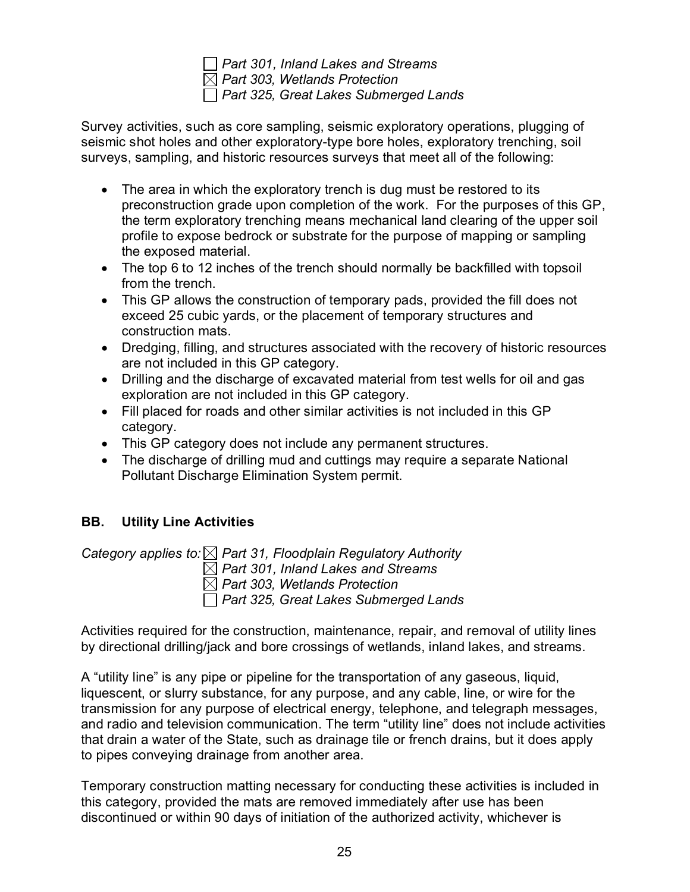*Part 301, Inland Lakes and Streams Part 303, Wetlands Protection Part 325, Great Lakes Submerged Lands* 

Survey activities, such as core sampling, seismic exploratory operations, plugging of seismic shot holes and other exploratory-type bore holes, exploratory trenching, soil surveys, sampling, and historic resources surveys that meet all of the following:

- The area in which the exploratory trench is dug must be restored to its preconstruction grade upon completion of the work. For the purposes of this GP, the term exploratory trenching means mechanical land clearing of the upper soil profile to expose bedrock or substrate for the purpose of mapping or sampling the exposed material.
- The top 6 to 12 inches of the trench should normally be backfilled with topsoil from the trench.
- This GP allows the construction of temporary pads, provided the fill does not exceed 25 cubic yards, or the placement of temporary structures and construction mats.
- Dredging, filling, and structures associated with the recovery of historic resources are not included in this GP category.
- Drilling and the discharge of excavated material from test wells for oil and gas exploration are not included in this GP category.
- Fill placed for roads and other similar activities is not included in this GP category.
- This GP category does not include any permanent structures.
- The discharge of drilling mud and cuttings may require a separate National Pollutant Discharge Elimination System permit.

## <span id="page-29-0"></span>**BB. Utility Line Activities**

*Category applies to: Part 31, Floodplain Regulatory Authority*

*Part 301, Inland Lakes and Streams*

*Part 303, Wetlands Protection* 

*Part 325, Great Lakes Submerged Lands* 

Activities required for the construction, maintenance, repair, and removal of utility lines by directional drilling/jack and bore crossings of wetlands, inland lakes, and streams.

A "utility line" is any pipe or pipeline for the transportation of any gaseous, liquid, liquescent, or slurry substance, for any purpose, and any cable, line, or wire for the transmission for any purpose of electrical energy, telephone, and telegraph messages, and radio and television communication. The term "utility line" does not include activities that drain a water of the State, such as drainage tile or french drains, but it does apply to pipes conveying drainage from another area.

Temporary construction matting necessary for conducting these activities is included in this category, provided the mats are removed immediately after use has been discontinued or within 90 days of initiation of the authorized activity, whichever is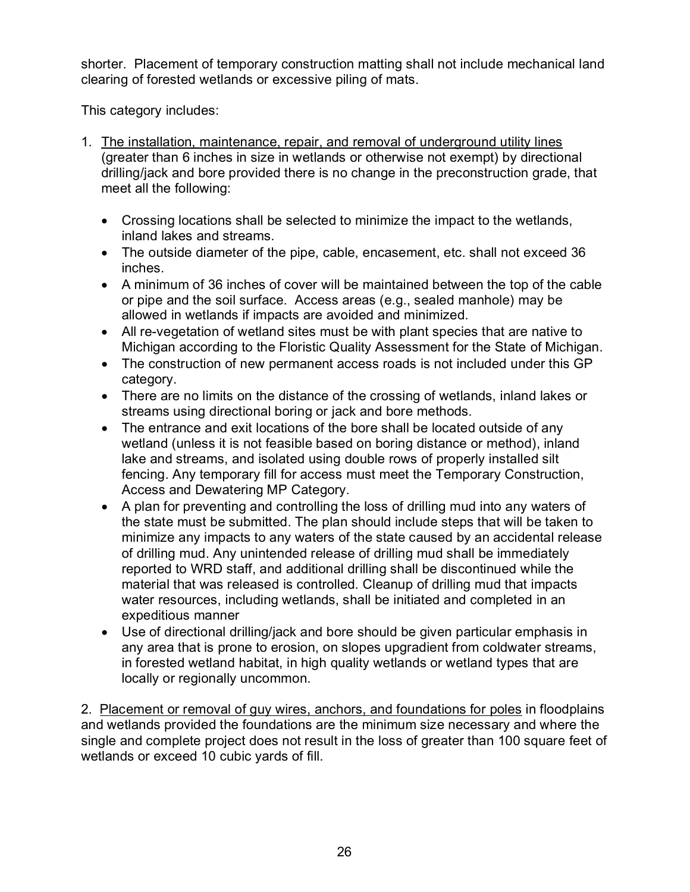shorter. Placement of temporary construction matting shall not include mechanical land clearing of forested wetlands or excessive piling of mats.

This category includes:

- 1. The installation, maintenance, repair, and removal of underground utility lines (greater than 6 inches in size in wetlands or otherwise not exempt) by directional drilling/jack and bore provided there is no change in the preconstruction grade, that meet all the following:
	- Crossing locations shall be selected to minimize the impact to the wetlands, inland lakes and streams.
	- The outside diameter of the pipe, cable, encasement, etc. shall not exceed 36 inches.
	- A minimum of 36 inches of cover will be maintained between the top of the cable or pipe and the soil surface. Access areas (e.g., sealed manhole) may be allowed in wetlands if impacts are avoided and minimized.
	- All re-vegetation of wetland sites must be with plant species that are native to Michigan according to the Floristic Quality Assessment for the State of Michigan.
	- The construction of new permanent access roads is not included under this GP category.
	- There are no limits on the distance of the crossing of wetlands, inland lakes or streams using directional boring or jack and bore methods.
	- The entrance and exit locations of the bore shall be located outside of any wetland (unless it is not feasible based on boring distance or method), inland lake and streams, and isolated using double rows of properly installed silt fencing. Any temporary fill for access must meet the Temporary Construction, Access and Dewatering MP Category.
	- A plan for preventing and controlling the loss of drilling mud into any waters of the state must be submitted. The plan should include steps that will be taken to minimize any impacts to any waters of the state caused by an accidental release of drilling mud. Any unintended release of drilling mud shall be immediately reported to WRD staff, and additional drilling shall be discontinued while the material that was released is controlled. Cleanup of drilling mud that impacts water resources, including wetlands, shall be initiated and completed in an expeditious manner
	- Use of directional drilling/jack and bore should be given particular emphasis in any area that is prone to erosion, on slopes upgradient from coldwater streams, in forested wetland habitat, in high quality wetlands or wetland types that are locally or regionally uncommon.

2. Placement or removal of guy wires, anchors, and foundations for poles in floodplains and wetlands provided the foundations are the minimum size necessary and where the single and complete project does not result in the loss of greater than 100 square feet of wetlands or exceed 10 cubic yards of fill.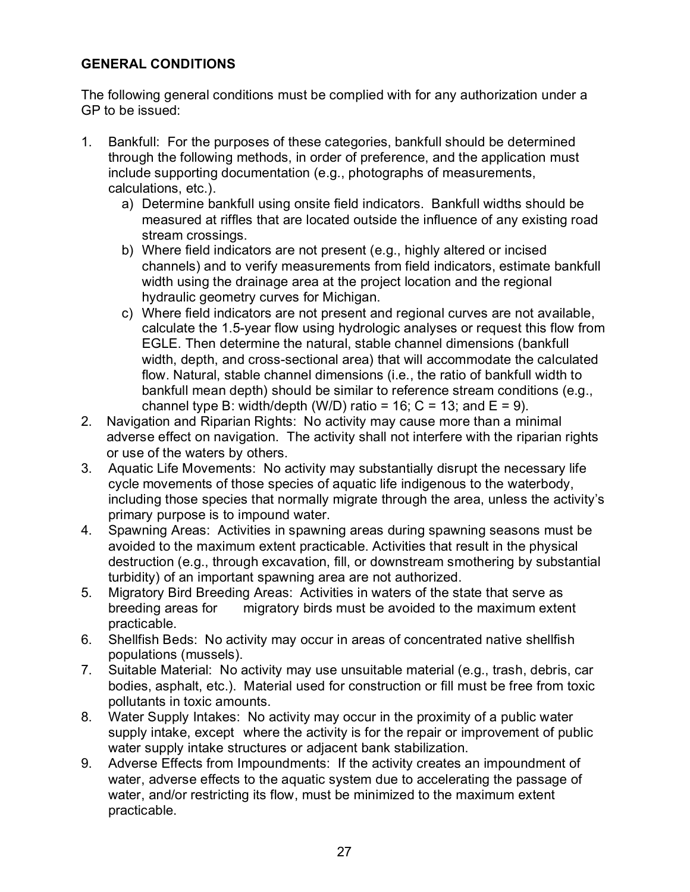## <span id="page-31-0"></span>**GENERAL CONDITIONS**

The following general conditions must be complied with for any authorization under a GP to be issued:

- 1. Bankfull: For the purposes of these categories, bankfull should be determined through the following methods, in order of preference, and the application must include supporting documentation (e.g., photographs of measurements, calculations, etc.).
	- a) Determine bankfull using onsite field indicators. Bankfull widths should be measured at riffles that are located outside the influence of any existing road stream crossings.
	- b) Where field indicators are not present (e.g., highly altered or incised channels) and to verify measurements from field indicators, estimate bankfull width using the drainage area at the project location and the regional hydraulic geometry curves for Michigan.
	- c) Where field indicators are not present and regional curves are not available, calculate the 1.5-year flow using hydrologic analyses or request this flow from EGLE. Then determine the natural, stable channel dimensions (bankfull width, depth, and cross-sectional area) that will accommodate the calculated flow. Natural, stable channel dimensions (i.e., the ratio of bankfull width to bankfull mean depth) should be similar to reference stream conditions (e.g., channel type B: width/depth (W/D) ratio = 16;  $C = 13$ ; and  $E = 9$ ).
- 2. Navigation and Riparian Rights: No activity may cause more than a minimal adverse effect on navigation. The activity shall not interfere with the riparian rights or use of the waters by others.
- 3. Aquatic Life Movements: No activity may substantially disrupt the necessary life cycle movements of those species of aquatic life indigenous to the waterbody, including those species that normally migrate through the area, unless the activity's primary purpose is to impound water.
- 4. Spawning Areas: Activities in spawning areas during spawning seasons must be avoided to the maximum extent practicable. Activities that result in the physical destruction (e.g., through excavation, fill, or downstream smothering by substantial turbidity) of an important spawning area are not authorized.
- 5. Migratory Bird Breeding Areas: Activities in waters of the state that serve as breeding areas for migratory birds must be avoided to the maximum extent practicable.
- 6. Shellfish Beds: No activity may occur in areas of concentrated native shellfish populations (mussels).
- 7. Suitable Material: No activity may use unsuitable material (e.g., trash, debris, car bodies, asphalt, etc.). Material used for construction or fill must be free from toxic pollutants in toxic amounts.
- 8. Water Supply Intakes: No activity may occur in the proximity of a public water supply intake, except where the activity is for the repair or improvement of public water supply intake structures or adjacent bank stabilization.
- 9. Adverse Effects from Impoundments: If the activity creates an impoundment of water, adverse effects to the aquatic system due to accelerating the passage of water, and/or restricting its flow, must be minimized to the maximum extent practicable.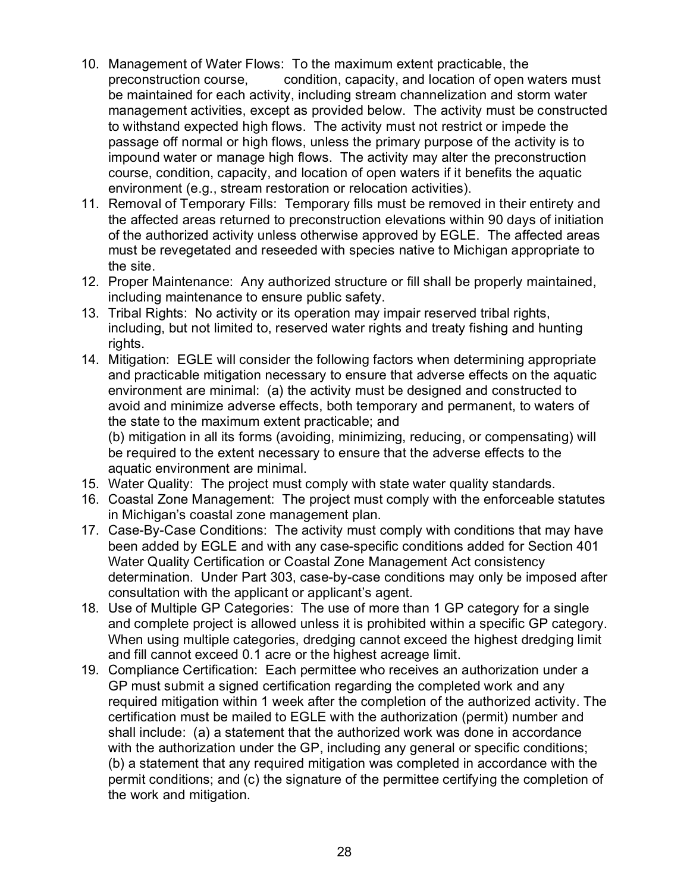- 10. Management of Water Flows: To the maximum extent practicable, the preconstruction course, condition, capacity, and location of open waters must be maintained for each activity, including stream channelization and storm water management activities, except as provided below. The activity must be constructed to withstand expected high flows. The activity must not restrict or impede the passage off normal or high flows, unless the primary purpose of the activity is to impound water or manage high flows. The activity may alter the preconstruction course, condition, capacity, and location of open waters if it benefits the aquatic environment (e.g., stream restoration or relocation activities).
- 11. Removal of Temporary Fills: Temporary fills must be removed in their entirety and the affected areas returned to preconstruction elevations within 90 days of initiation of the authorized activity unless otherwise approved by EGLE. The affected areas must be revegetated and reseeded with species native to Michigan appropriate to the site.
- 12. Proper Maintenance: Any authorized structure or fill shall be properly maintained, including maintenance to ensure public safety.
- 13. Tribal Rights: No activity or its operation may impair reserved tribal rights, including, but not limited to, reserved water rights and treaty fishing and hunting rights.
- 14. Mitigation: EGLE will consider the following factors when determining appropriate and practicable mitigation necessary to ensure that adverse effects on the aquatic environment are minimal: (a) the activity must be designed and constructed to avoid and minimize adverse effects, both temporary and permanent, to waters of the state to the maximum extent practicable; and

(b) mitigation in all its forms (avoiding, minimizing, reducing, or compensating) will be required to the extent necessary to ensure that the adverse effects to the aquatic environment are minimal.

- 15. Water Quality: The project must comply with state water quality standards.
- 16. Coastal Zone Management: The project must comply with the enforceable statutes in Michigan's coastal zone management plan.
- 17. Case-By-Case Conditions: The activity must comply with conditions that may have been added by EGLE and with any case-specific conditions added for Section 401 Water Quality Certification or Coastal Zone Management Act consistency determination. Under Part 303, case-by-case conditions may only be imposed after consultation with the applicant or applicant's agent.
- 18. Use of Multiple GP Categories: The use of more than 1 GP category for a single and complete project is allowed unless it is prohibited within a specific GP category. When using multiple categories, dredging cannot exceed the highest dredging limit and fill cannot exceed 0.1 acre or the highest acreage limit.
- 19. Compliance Certification: Each permittee who receives an authorization under a GP must submit a signed certification regarding the completed work and any required mitigation within 1 week after the completion of the authorized activity. The certification must be mailed to EGLE with the authorization (permit) number and shall include: (a) a statement that the authorized work was done in accordance with the authorization under the GP, including any general or specific conditions; (b) a statement that any required mitigation was completed in accordance with the permit conditions; and (c) the signature of the permittee certifying the completion of the work and mitigation.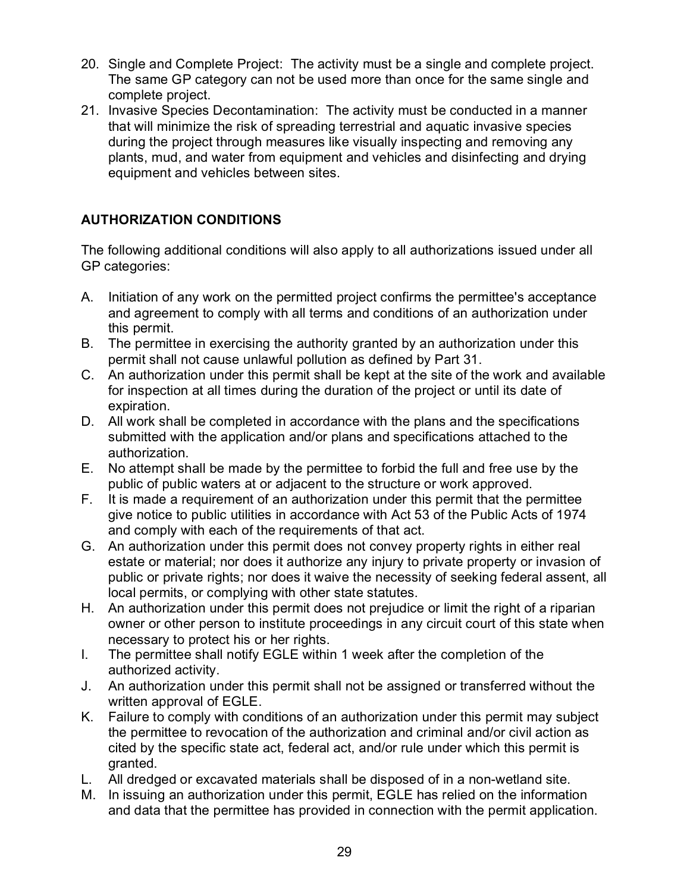- 20. Single and Complete Project: The activity must be a single and complete project. The same GP category can not be used more than once for the same single and complete project.
- 21. Invasive Species Decontamination: The activity must be conducted in a manner that will minimize the risk of spreading terrestrial and aquatic invasive species during the project through measures like visually inspecting and removing any plants, mud, and water from equipment and vehicles and disinfecting and drying equipment and vehicles between sites.

## <span id="page-33-0"></span>**AUTHORIZATION CONDITIONS**

The following additional conditions will also apply to all authorizations issued under all GP categories:

- A. Initiation of any work on the permitted project confirms the permittee's acceptance and agreement to comply with all terms and conditions of an authorization under this permit.
- B. The permittee in exercising the authority granted by an authorization under this permit shall not cause unlawful pollution as defined by Part 31.
- C. An authorization under this permit shall be kept at the site of the work and available for inspection at all times during the duration of the project or until its date of expiration.
- D. All work shall be completed in accordance with the plans and the specifications submitted with the application and/or plans and specifications attached to the authorization.
- E. No attempt shall be made by the permittee to forbid the full and free use by the public of public waters at or adjacent to the structure or work approved.
- F. It is made a requirement of an authorization under this permit that the permittee give notice to public utilities in accordance with Act 53 of the Public Acts of 1974 and comply with each of the requirements of that act.
- G. An authorization under this permit does not convey property rights in either real estate or material; nor does it authorize any injury to private property or invasion of public or private rights; nor does it waive the necessity of seeking federal assent, all local permits, or complying with other state statutes.
- H. An authorization under this permit does not prejudice or limit the right of a riparian owner or other person to institute proceedings in any circuit court of this state when necessary to protect his or her rights.
- I. The permittee shall notify EGLE within 1 week after the completion of the authorized activity.
- J. An authorization under this permit shall not be assigned or transferred without the written approval of EGLE.
- K. Failure to comply with conditions of an authorization under this permit may subject the permittee to revocation of the authorization and criminal and/or civil action as cited by the specific state act, federal act, and/or rule under which this permit is granted.
- L. All dredged or excavated materials shall be disposed of in a non-wetland site.
- M. In issuing an authorization under this permit, EGLE has relied on the information and data that the permittee has provided in connection with the permit application.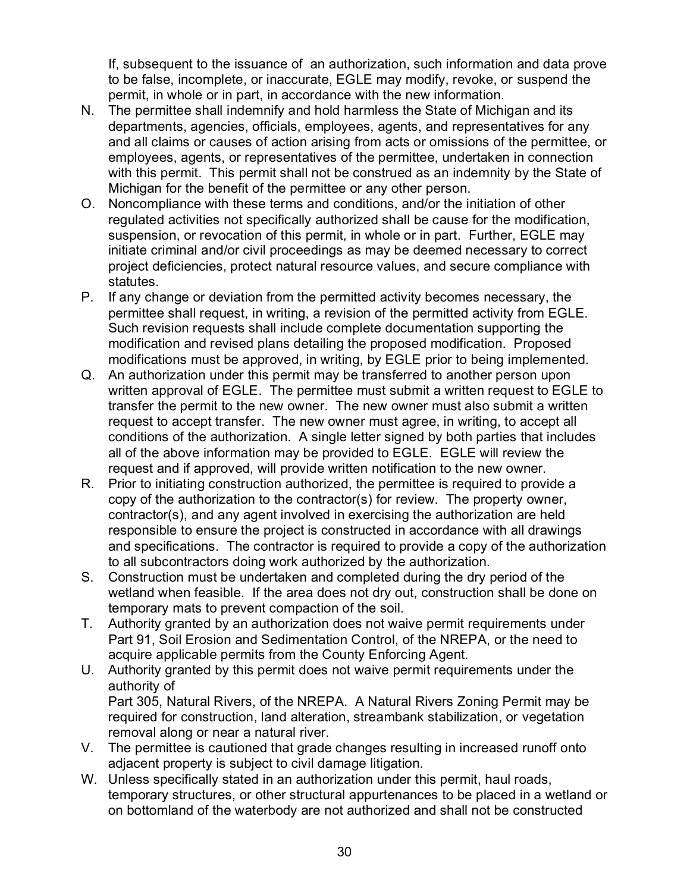If, subsequent to the issuance of an authorization, such information and data prove to be false, incomplete, or inaccurate, EGLE may modify, revoke, or suspend the permit, in whole or in part, in accordance with the new information.

- N. The permittee shall indemnify and hold harmless the State of Michigan and its departments, agencies, officials, employees, agents, and representatives for any and all claims or causes of action arising from acts or omissions of the permittee, or employees, agents, or representatives of the permittee, undertaken in connection with this permit. This permit shall not be construed as an indemnity by the State of Michigan for the benefit of the permittee or any other person.
- O. Noncompliance with these terms and conditions, and/or the initiation of other regulated activities not specifically authorized shall be cause for the modification, suspension, or revocation of this permit, in whole or in part. Further, EGLE may initiate criminal and/or civil proceedings as may be deemed necessary to correct project deficiencies, protect natural resource values, and secure compliance with statutes.
- P. If any change or deviation from the permitted activity becomes necessary, the permittee shall request, in writing, a revision of the permitted activity from EGLE. Such revision requests shall include complete documentation supporting the modification and revised plans detailing the proposed modification. Proposed modifications must be approved, in writing, by EGLE prior to being implemented.
- Q. An authorization under this permit may be transferred to another person upon written approval of EGLE. The permittee must submit a written request to EGLE to transfer the permit to the new owner. The new owner must also submit a written request to accept transfer. The new owner must agree, in writing, to accept all conditions of the authorization. A single letter signed by both parties that includes all of the above information may be provided to EGLE. EGLE will review the request and if approved, will provide written notification to the new owner.
- R. Prior to initiating construction authorized, the permittee is required to provide a copy of the authorization to the contractor(s) for review. The property owner, contractor(s), and any agent involved in exercising the authorization are held responsible to ensure the project is constructed in accordance with all drawings and specifications. The contractor is required to provide a copy of the authorization to all subcontractors doing work authorized by the authorization.
- S. Construction must be undertaken and completed during the dry period of the wetland when feasible. If the area does not dry out, construction shall be done on temporary mats to prevent compaction of the soil.
- T. Authority granted by an authorization does not waive permit requirements under Part 91, Soil Erosion and Sedimentation Control, of the NREPA, or the need to acquire applicable permits from the County Enforcing Agent.
- U. Authority granted by this permit does not waive permit requirements under the authority of Part 305, Natural Rivers, of the NREPA. A Natural Rivers Zoning Permit may be required for construction, land alteration, streambank stabilization, or vegetation removal along or near a natural river.
- V. The permittee is cautioned that grade changes resulting in increased runoff onto adjacent property is subject to civil damage litigation.
- W. Unless specifically stated in an authorization under this permit, haul roads, temporary structures, or other structural appurtenances to be placed in a wetland or on bottomland of the waterbody are not authorized and shall not be constructed